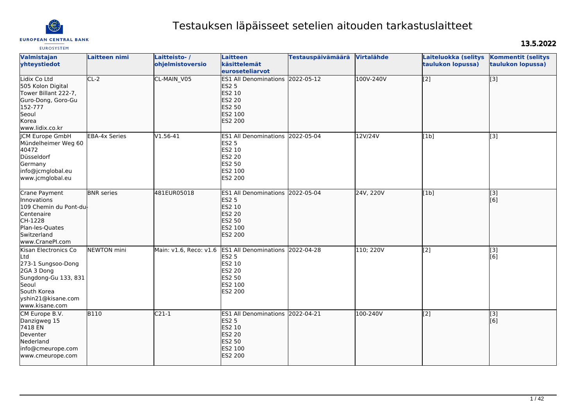

# Testauksen läpäisseet setelien aitouden tarkastuslaitteet

# 13.5.2022

| <b>EUROSYSTEM</b>                                                                                                                                       |                      |                                  |                                                                                                                           |                          |            |                                           |                                                           |
|---------------------------------------------------------------------------------------------------------------------------------------------------------|----------------------|----------------------------------|---------------------------------------------------------------------------------------------------------------------------|--------------------------|------------|-------------------------------------------|-----------------------------------------------------------|
| Valmistajan<br>yhteystiedot                                                                                                                             | Laitteen nimi        | Laitteisto-/<br>ohjelmistoversio | <b>Laitteen</b><br>käsittelemät<br>euroseteliarvot                                                                        | <b>Testauspäivämäärä</b> | Virtalähde | Laiteluokka (selitys<br>taulukon lopussa) | <b>Kommentit (selitys</b><br>taulukon lopussa)            |
| Lidix Co Ltd<br>505 Kolon Digital<br>Tower Billant 222-7,<br>Guro-Dong, Goro-Gu<br>152-777<br>Seoul<br>Korea<br>www.lidix.co.kr                         | $CL-2$               | CL-MAIN_V05                      | ES1 All Denominations 2022-05-12<br><b>ES2 5</b><br>ES2 10<br><b>ES2 20</b><br>ES2 50<br>ES2 100<br><b>ES2 200</b>        |                          | 100V-240V  | $\overline{[2]}$                          | $\overline{[3]}$                                          |
| ICM Europe GmbH<br>Mündelheimer Weg 60<br>40472<br>Düsseldorf<br>Germany<br>info@jcmglobal.eu<br>www.jcmglobal.eu                                       | <b>EBA-4x Series</b> | $V1.56-41$                       | <b>ES1 All Denominations</b><br>ES2 5<br>ES2 10<br><b>ES2 20</b><br><b>ES2 50</b><br>ES2 100<br>ES2 200                   | 2022-05-04               | 12V/24V    | [1b]                                      | $\overline{[3]}$                                          |
| Crane Payment<br>Innovations<br>109 Chemin du Pont-du<br>Centenaire<br>CH-1228<br>Plan-les-Quates<br>Switzerland<br>www.CranePI.com                     | <b>BNR</b> series    | 481EUR05018                      | <b>ES1 All Denominations</b><br><b>ES2 5</b><br>ES2 10<br><b>ES2 20</b><br>ES2 50<br>ES2 100<br><b>ES2 200</b>            | 2022-05-04               | 24V, 220V  | [1b]                                      | $\left[ \begin{matrix} 1 & 3 \end{matrix} \right]$<br>[6] |
| Kisan Electronics Co<br>Ltd<br>273-1 Sungsoo-Dong<br>2GA 3 Dong<br>Sungdong-Gu 133, 831<br>Seoul<br>South Korea<br>yshin21@kisane.com<br>www.kisane.com | NEWTON mini          | Main: v1.6, Reco: v1.6           | ES1 All Denominations 2022-04-28<br><b>ES2 5</b><br>ES2 10<br><b>ES2 20</b><br><b>ES2 50</b><br>ES2 100<br>ES2 200        |                          | 110; 220V  | $\overline{[2]}$                          | $\overline{[3]}$<br>[6]                                   |
| CM Europe B.V.<br>Danzigweg 15<br>7418 EN<br>Deventer<br>Nederland<br>info@cmeurope.com<br>www.cmeurope.com                                             | $\overline{B110}$    | $C21-1$                          | ES1 All Denominations 2022-04-21<br><b>ES2 5</b><br>ES2 10<br><b>ES2 20</b><br><b>ES2 50</b><br>ES2 100<br><b>ES2 200</b> |                          | 100-240V   | [2]                                       | $\left[ \begin{matrix} 1 & 3 \end{matrix} \right]$<br>[6] |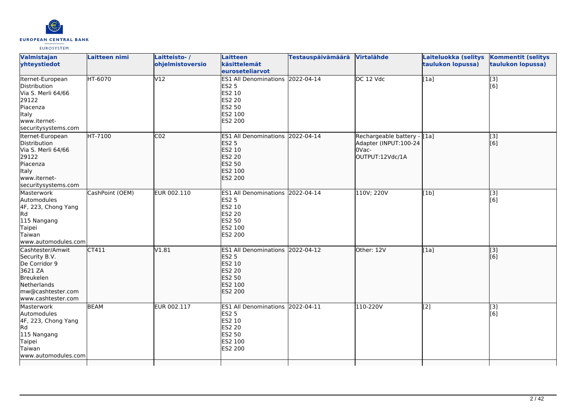

| Valmistajan<br>yhteystiedot                                                                                                          | Laitteen nimi   | Laitteisto-/<br>ohjelmistoversio | <b>Laitteen</b><br>käsittelemät<br>euroseteliarvot                                                                        | <b>Testauspäivämäärä</b> | Virtalähde                                                                       | Laiteluokka (selitys<br>taulukon lopussa) | <b>Kommentit (selitys</b><br>taulukon lopussa) |
|--------------------------------------------------------------------------------------------------------------------------------------|-----------------|----------------------------------|---------------------------------------------------------------------------------------------------------------------------|--------------------------|----------------------------------------------------------------------------------|-------------------------------------------|------------------------------------------------|
| Iternet-European<br>Distribution<br>Via S. Merli 64/66<br>29122<br>Piacenza<br>Italy<br>www.iternet-<br>securitysystems.com          | HT-6070         | V12                              | <b>ES1 All Denominations</b><br><b>ES2 5</b><br>ES2 10<br>ES2 20<br><b>ES2 50</b><br>ES2 100<br><b>ES2 200</b>            | 2022-04-14               | DC 12 Vdc                                                                        | [1a]                                      | $\overline{[3]}$<br>[6]                        |
| Iternet-European<br>Distribution<br>Via S. Merli 64/66<br>29122<br>Piacenza<br>Italy<br>www.iternet-<br>securitysystems.com          | HT-7100         | CO <sub>2</sub>                  | ES1 All Denominations 2022-04-14<br><b>ES2 5</b><br>ES2 10<br><b>ES2 20</b><br><b>ES2 50</b><br>ES2 100<br><b>ES2 200</b> |                          | Rechargeable battery - [1a]<br>Adapter (INPUT:100-24<br>OVac-<br>OUTPUT:12Vdc/1A |                                           | [3]<br>[6]                                     |
| Masterwork<br>Automodules<br>4F, 223, Chong Yang<br>Rd<br>115 Nangang<br>Taipei<br>Taiwan<br>www.automodules.com                     | CashPoint (OEM) | EUR 002.110                      | <b>ES1 All Denominations</b><br><b>ES2 5</b><br>ES2 10<br><b>ES2 20</b><br><b>ES2 50</b><br>ES2 100<br>ES2 200            | 2022-04-14               | 110V; 220V                                                                       | [1b]                                      | [3]<br>[6]                                     |
| Cashtester/Amwit<br>Security B.V.<br>De Corridor 9<br>3621 ZA<br>Breukelen<br>Netherlands<br>mw@cashtester.com<br>www.cashtester.com | CT411           | V1.81                            | <b>ES1 All Denominations</b><br><b>ES2 5</b><br>ES2 10<br><b>ES2 20</b><br><b>ES2 50</b><br>ES2 100<br><b>ES2 200</b>     | 2022-04-12               | Other: 12V                                                                       | [1a]                                      | $\overline{[}3]$<br>[6]                        |
| Masterwork<br>Automodules<br>4F, 223, Chong Yang<br>Rd<br>115 Nangang<br>Taipei<br>Taiwan<br>www.automodules.com                     | <b>BEAM</b>     | EUR 002.117                      | ES1 All Denominations 2022-04-11<br><b>ES2 5</b><br>ES2 10<br><b>ES2 20</b><br><b>ES2 50</b><br>ES2 100<br>ES2 200        |                          | 110-220V                                                                         | [2]                                       | $\overline{[}3]$<br>[6]                        |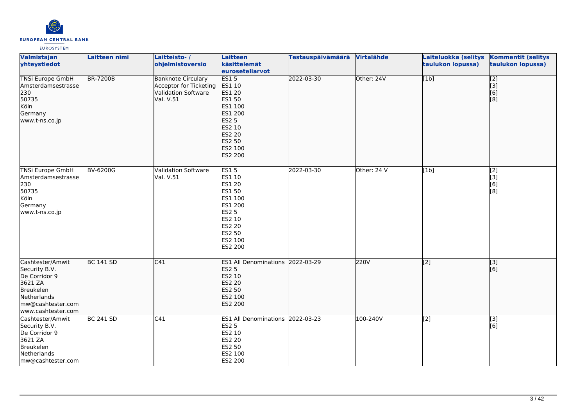

| Valmistajan<br>yhteystiedot                                                                                                          | Laitteen nimi    | Laitteisto-/<br>ohjelmistoversio                                                               | Laitteen<br>käsittelemät<br>euroseteliarvot                                                                                                | Testauspäivämäärä Virtalähde |             | Laiteluokka (selitys<br>taulukon lopussa) | <b>Kommentit (selitys</b><br>taulukon lopussa) |
|--------------------------------------------------------------------------------------------------------------------------------------|------------------|------------------------------------------------------------------------------------------------|--------------------------------------------------------------------------------------------------------------------------------------------|------------------------------|-------------|-------------------------------------------|------------------------------------------------|
| <b>TNSi Europe GmbH</b><br>Amsterdamsestrasse<br>230<br>50735<br>Köln<br>Germany<br>www.t-ns.co.jp                                   | <b>BR-7200B</b>  | <b>Banknote Circulary</b><br>Acceptor for Ticketing<br><b>Validation Software</b><br>Val. V.51 | ES15<br>ES1 10<br><b>ES1 20</b><br>ES1 50<br>ES1 100<br>ES1 200<br><b>ES2 5</b><br>ES2 10<br><b>ES2 20</b><br>ES2 50<br>ES2 100<br>ES2 200 | 2022-03-30                   | Other: 24V  | [1b]                                      | $\sqrt{2}$<br> 3]<br>[6]<br>[8]                |
| <b>TNSi Europe GmbH</b><br>Amsterdamsestrasse<br>230<br>50735<br>Köln<br>Germany<br>www.t-ns.co.jp                                   | <b>BV-6200G</b>  | <b>Validation Software</b><br>Val. V.51                                                        | <b>ES15</b><br>ES1 10<br>ES1 20<br>ES1 50<br>ES1 100<br>ES1 200<br><b>ES2 5</b><br>ES2 10<br><b>ES2 20</b><br>ES2 50<br>ES2 100<br>ES2 200 | 2022-03-30                   | Other: 24 V | [1b]                                      | [2]<br>[3]<br>[6]<br>[8]                       |
| Cashtester/Amwit<br>Security B.V.<br>De Corridor 9<br>3621 ZA<br>Breukelen<br>Netherlands<br>mw@cashtester.com<br>www.cashtester.com | <b>BC 141 SD</b> | C41                                                                                            | ES1 All Denominations 2022-03-29<br><b>ES2 5</b><br>ES2 10<br><b>ES2 20</b><br>ES2 50<br>ES2 100<br>ES2 200                                |                              | 220V        | $\overline{[2]}$                          | $\sqrt{3}$<br>[6]                              |
| Cashtester/Amwit<br>Security B.V.<br>De Corridor 9<br>3621 ZA<br>Breukelen<br>Netherlands<br>mw@cashtester.com                       | <b>BC 241 SD</b> | C41                                                                                            | ES1 All Denominations 2022-03-23<br><b>ES2 5</b><br>ES2 10<br><b>ES2 20</b><br>ES2 50<br>ES2 100<br>ES2 200                                |                              | 100-240V    | [2]                                       | [3]<br>[6]                                     |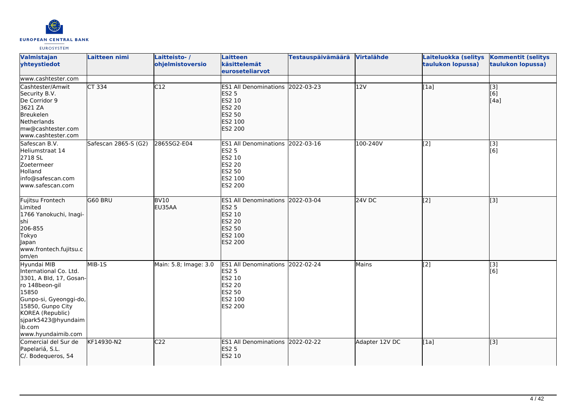

| Valmistajan<br>yhteystiedot                                                                                                                                                                                           | Laitteen nimi        | Laitteisto-/<br>ohjelmistoversio | <b>Laitteen</b><br>käsittelemät<br>euroseteliarvot                                                                        | <b>Testauspäivämäärä</b> | Virtalähde     | Laiteluokka (selitys<br>taulukon lopussa) | <b>Kommentit (selitys</b><br>taulukon lopussa) |
|-----------------------------------------------------------------------------------------------------------------------------------------------------------------------------------------------------------------------|----------------------|----------------------------------|---------------------------------------------------------------------------------------------------------------------------|--------------------------|----------------|-------------------------------------------|------------------------------------------------|
| www.cashtester.com                                                                                                                                                                                                    |                      |                                  |                                                                                                                           |                          |                |                                           |                                                |
| Cashtester/Amwit<br>Security B.V.<br>De Corridor 9<br>3621 ZA<br>Breukelen<br>Netherlands<br>mw@cashtester.com<br>www.cashtester.com                                                                                  | $CT$ 334             | C12                              | ES1 All Denominations 2022-03-23<br><b>ES2 5</b><br>ES2 10<br><b>ES2 20</b><br><b>ES2 50</b><br>ES2 100<br>ES2 200        |                          | 12V            | [1a]                                      | $\overline{[}3]$<br>[6]<br>[4a]                |
| Safescan B.V.<br>Heliumstraat 14<br>2718 SL<br>Zoetermeer<br>Holland<br>info@safescan.com<br>www.safescan.com                                                                                                         | Safescan 2865-S (G2) | 2865SG2-E04                      | ES1 All Denominations 2022-03-16<br><b>ES2 5</b><br>ES2 10<br>ES2 20<br>ES2 50<br>ES2 100<br>ES2 200                      |                          | 100-240V       | [2]                                       | [3]<br>[6]                                     |
| Fujitsu Frontech<br>Limited<br>1766 Yanokuchi, Inagi-<br>shi<br>206-855<br>Tokyo<br>Japan<br>www.frontech.fujitsu.c<br>om/en                                                                                          | G60 BRU              | BV <sub>10</sub><br>EU35AA       | ES1 All Denominations 2022-03-04<br><b>ES2 5</b><br>ES2 10<br><b>ES2 20</b><br><b>ES2 50</b><br>ES2 100<br><b>ES2 200</b> |                          | <b>24V DC</b>  | [[2]                                      | $\left[ \begin{matrix} 3 \end{matrix} \right]$ |
| Hyundai MIB<br>International Co. Ltd.<br>3301, A Bld, 17, Gosan-<br>ro 148beon-gil<br>15850<br>Gunpo-si, Gyeonggi-do,<br>15850, Gunpo City<br>KOREA (Republic)<br>sjpark5423@hyundaim<br>ib.com<br>www.hyundaimib.com | MIB-1S               | Main: 5.8; Image: 3.0            | ES1 All Denominations 2022-02-24<br><b>ES2 5</b><br>ES2 10<br>ES2 20<br>ES2 50<br>ES2 100<br>ES2 200                      |                          | Mains          | $\overline{[2]}$                          | $\overline{[3]}$<br>[6]                        |
| Comercial del Sur de<br>Papelariá, S.L.<br>C/. Bodequeros, 54                                                                                                                                                         | KF14930-N2           | C <sub>22</sub>                  | ES1 All Denominations 2022-02-22<br><b>ES2 5</b><br>ES2 10                                                                |                          | Adapter 12V DC | [1a]                                      | $\left[ \begin{matrix} 3 \end{matrix} \right]$ |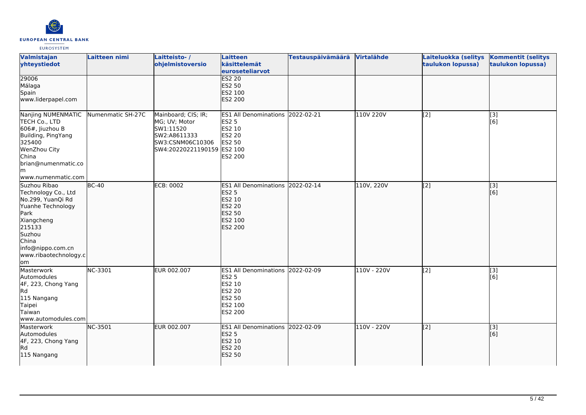

| Valmistajan<br>yhteystiedot                                                                                                                                                           | Laitteen nimi     | Laitteisto-/<br>ohjelmistoversio                                                                                    | Laitteen<br>käsittelemät<br>euroseteliarvot                                                                        | <b>Testauspäivämäärä</b> | Virtalähde  | Laiteluokka (selitys<br>taulukon lopussa) | <b>Kommentit (selitys</b><br>taulukon lopussa) |
|---------------------------------------------------------------------------------------------------------------------------------------------------------------------------------------|-------------------|---------------------------------------------------------------------------------------------------------------------|--------------------------------------------------------------------------------------------------------------------|--------------------------|-------------|-------------------------------------------|------------------------------------------------|
| 29006<br>Málaga<br>Spain<br>www.liderpapel.com                                                                                                                                        |                   |                                                                                                                     | <b>ES2 20</b><br><b>ES2 50</b><br>ES2 100<br><b>ES2 200</b>                                                        |                          |             |                                           |                                                |
| Nanjing NUMENMATIC<br>TECH Co., LTD<br>$606#$ , Jiuzhou B<br>Building, PingYang<br>325400<br>WenZhou City<br><b>China</b><br>brian@numenmatic.co<br>lm.<br>www.numenmatic.com         | Numenmatic SH-27C | Mainboard; CIS; IR;<br>MG; UV; Motor<br>SW1:11520<br>SW2:A8611333<br>SW3:CSNM06C10306<br>SW4:20220221190159 ES2 100 | ES1 All Denominations 2022-02-21<br><b>ES2 5</b><br>ES2 10<br>ES2 20<br>ES2 50<br>ES2 200                          |                          | 110V 220V   | [2]                                       | [3]<br>[6]                                     |
| Suzhou Ribao<br>Technology Co., Ltd<br>No.299, YuanQi Rd<br>Yuanhe Technology<br>Park<br>Xiangcheng<br>215133<br>Suzhou<br>China<br>info@nippo.com.cn<br>www.ribaotechnology.c<br>lom | $BC-40$           | <b>ECB: 0002</b>                                                                                                    | ES1 All Denominations 2022-02-14<br><b>ES2 5</b><br><b>ES2 10</b><br>ES2 20<br>ES2 50<br>ES2 100<br><b>ES2 200</b> |                          | 110V, 220V  | [2]                                       | $\overline{[3]}$<br>[6]                        |
| Masterwork<br>Automodules<br>4F, 223, Chong Yang<br><b>Rd</b><br>115 Nangang<br>Taipei<br>Taiwan<br>www.automodules.com                                                               | <b>NC-3301</b>    | EUR 002.007                                                                                                         | ES1 All Denominations 2022-02-09<br><b>ES2 5</b><br>ES2 10<br>ES2 20<br>ES2 50<br>ES2 100<br>ES2 200               |                          | 110V - 220V | $\overline{[2]}$                          | $\overline{[}3]$<br>[6]                        |
| Masterwork<br>Automodules<br>4F, 223, Chong Yang<br>Rd.<br>115 Nangang                                                                                                                | NC-3501           | EUR 002.007                                                                                                         | ES1 All Denominations 2022-02-09<br><b>ES2 5</b><br>ES2 10<br><b>ES2 20</b><br>ES2 50                              |                          | 110V - 220V | [2]                                       | [3]<br>[6]                                     |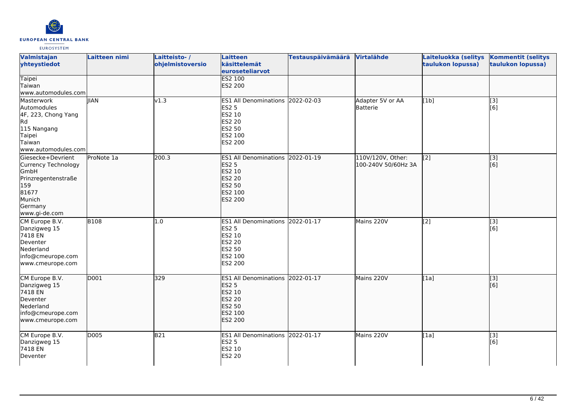

| Valmistajan<br>yhteystiedot                                                                                                   | Laitteen nimi | Laitteisto-/<br>ohjelmistoversio | <b>Laitteen</b><br>käsittelemät<br>euroseteliarvot                                                                 | Testauspäivämäärä | <b>Virtalähde</b>                        | Laiteluokka (selitys<br>taulukon lopussa) | <b>Kommentit (selitys</b><br>taulukon lopussa) |
|-------------------------------------------------------------------------------------------------------------------------------|---------------|----------------------------------|--------------------------------------------------------------------------------------------------------------------|-------------------|------------------------------------------|-------------------------------------------|------------------------------------------------|
| <b>Taipei</b><br>Taiwan<br>www.automodules.com                                                                                |               |                                  | <b>ES2 100</b><br>ES2 200                                                                                          |                   |                                          |                                           |                                                |
| Masterwork<br>Automodules<br>4F, 223, Chong Yang<br>Rd<br>115 Nangang<br>Taipei<br>Taiwan<br>www.automodules.com              | <b>IIAN</b>   | v1.3                             | ES1 All Denominations 2022-02-03<br><b>ES2 5</b><br>ES2 10<br><b>ES2 20</b><br>ES2 50<br>ES2 100<br>ES2 200        |                   | Adapter 5V or AA<br>Batterie             | [1b]                                      | [3]<br>[6]                                     |
| Giesecke+Devrient<br>Currency Technology<br>GmbH<br>Prinzregentenstraße<br>159<br>81677<br>Munich<br>Germany<br>www.gi-de.com | ProNote 1a    | 200.3                            | ES1 All Denominations 2022-01-19<br><b>ES2 5</b><br>ES2 10<br><b>ES2 20</b><br>ES2 50<br>ES2 100<br><b>ES2 200</b> |                   | 110V/120V, Other:<br>100-240V 50/60Hz 3A | $\overline{[2]}$                          | $\sqrt{3}$<br>[6]                              |
| CM Europe B.V.<br>Danzigweg 15<br>7418 EN<br>Deventer<br>Nederland<br>info@cmeurope.com<br>www.cmeurope.com                   | <b>B108</b>   | 1.0                              | ES1 All Denominations 2022-01-17<br><b>ES2 5</b><br>ES2 10<br><b>ES2 20</b><br>ES2 50<br>ES2 100<br>ES2 200        |                   | Mains 220V                               | [2]                                       | [3]<br>[6]                                     |
| CM Europe B.V.<br>Danzigweg 15<br>7418 EN<br>Deventer<br>Nederland<br>info@cmeurope.com<br>www.cmeurope.com                   | D001          | 329                              | ES1 All Denominations 2022-01-17<br><b>ES2 5</b><br>ES2 10<br><b>ES2 20</b><br>ES2 50<br>ES2 100<br>ES2 200        |                   | Mains 220V                               | $\overline{[1a]}$                         | $\overline{[}3]$<br>[6]                        |
| CM Europe B.V.<br>Danzigweg 15<br>7418 EN<br>Deventer                                                                         | D005          | B21                              | ES1 All Denominations 2022-01-17<br><b>ES2 5</b><br>ES2 10<br><b>ES2 20</b>                                        |                   | Mains 220V                               | [1a]                                      | [3]<br>[6]                                     |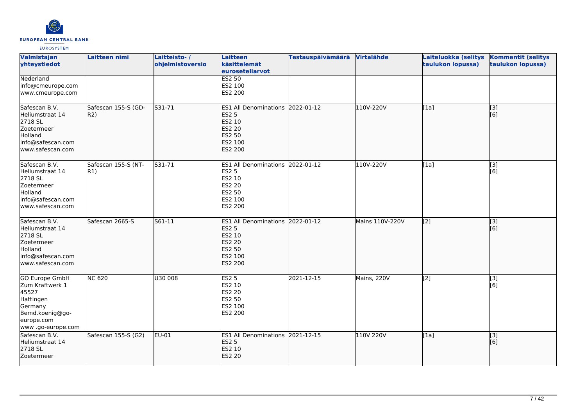

| <b>Valmistajan</b><br>yhteystiedot                                                                                              | Laitteen nimi              | Laitteisto-/<br>ohjelmistoversio | <b>Laitteen</b><br>käsittelemät<br>euroseteliarvot                                                                 | <b>Testauspäivämäärä</b> | Virtalähde      | Laiteluokka (selitys<br>taulukon lopussa) | <b>Kommentit (selitys</b><br>taulukon lopussa) |
|---------------------------------------------------------------------------------------------------------------------------------|----------------------------|----------------------------------|--------------------------------------------------------------------------------------------------------------------|--------------------------|-----------------|-------------------------------------------|------------------------------------------------|
| Nederland<br>info@cmeurope.com<br>www.cmeurope.com                                                                              |                            |                                  | <b>ES2 50</b><br>ES2 100<br>ES2 200                                                                                |                          |                 |                                           |                                                |
| Safescan B.V.<br>Heliumstraat 14<br>2718 SL<br>Zoetermeer<br>Holland<br>info@safescan.com<br>www.safescan.com                   | Safescan 155-S (GD-<br>R2) | S31-71                           | ES1 All Denominations 2022-01-12<br><b>ES2 5</b><br>ES2 10<br>ES2 20<br><b>ES2 50</b><br>ES2 100<br><b>ES2 200</b> |                          | 110V-220V       | [1a]                                      | [3]<br>[6]                                     |
| Safescan B.V.<br>Heliumstraat 14<br>2718 SL<br>Zoetermeer<br>Holland<br>info@safescan.com<br>www.safescan.com                   | Safescan 155-S (NT-<br>R1) | S31-71                           | ES1 All Denominations 2022-01-12<br><b>ES2 5</b><br>ES2 10<br>ES2 20<br>ES2 50<br>ES2 100<br>ES2 200               |                          | 110V-220V       | [1a]                                      | $\overline{[3]}$<br>[6]                        |
| Safescan B.V.<br>Heliumstraat 14<br>2718 SL<br>Zoetermeer<br>Holland<br>info@safescan.com<br>lwww.safescan.com                  | Safescan 2665-S            | S61-11                           | ES1 All Denominations 2022-01-12<br><b>ES2 5</b><br>ES2 10<br>ES2 20<br>ES2 50<br>ES2 100<br><b>ES2 200</b>        |                          | Mains 110V-220V | $\overline{[2]}$                          | [3]<br>[6]                                     |
| <b>GO Europe GmbH</b><br>Zum Kraftwerk 1<br>45527<br>Hattingen<br>Germany<br>Bemd.koenig@go-<br>europe.com<br>www.go-europe.com | <b>NC 620</b>              | U30 008                          | ES2 <sub>5</sub><br>ES2 10<br><b>ES2 20</b><br>ES2 50<br>ES2 100<br><b>ES2 200</b>                                 | 2021-12-15               | Mains, 220V     | [2]                                       | $\overline{[}3]$<br>[6]                        |
| Safescan B.V.<br>Heliumstraat 14<br>2718 SL<br>Zoetermeer                                                                       | Safescan 155-S (G2)        | EU-01                            | ES1 All Denominations 2021-12-15<br><b>ES2 5</b><br>ES2 10<br><b>ES2 20</b>                                        |                          | 110V 220V       | [1a]                                      | $\overline{[3]}$<br>[6]                        |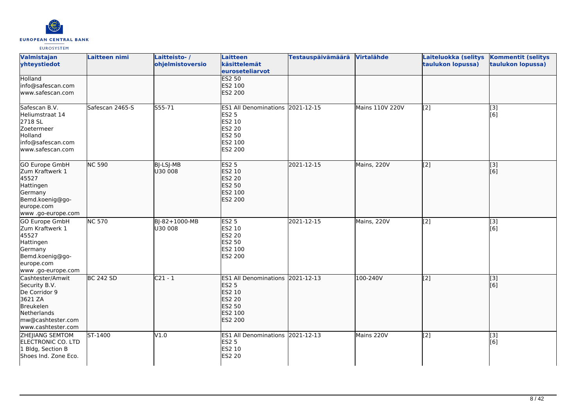

| Valmistajan<br>yhteystiedot                                                                                                          | Laitteen nimi    | Laitteisto-/<br>ohjelmistoversio | <b>Laitteen</b><br>käsittelemät<br>euroseteliarvot                                                                 | Testauspäivämäärä | <b>Virtalähde</b> | Laiteluokka (selitys<br>taulukon lopussa) | <b>Kommentit (selitys</b><br>taulukon lopussa) |
|--------------------------------------------------------------------------------------------------------------------------------------|------------------|----------------------------------|--------------------------------------------------------------------------------------------------------------------|-------------------|-------------------|-------------------------------------------|------------------------------------------------|
| <b>Holland</b><br>info@safescan.com<br>www.safescan.com                                                                              |                  |                                  | <b>ES2 50</b><br>ES2 100<br>ES2 200                                                                                |                   |                   |                                           |                                                |
| Safescan B.V.<br>Heliumstraat 14<br>2718 SL<br>Zoetermeer<br>Holland<br>info@safescan.com<br>www.safescan.com                        | Safescan 2465-S  | S55-71                           | ES1 All Denominations 2021-12-15<br><b>ES2 5</b><br>ES2 10<br><b>ES2 20</b><br>ES2 50<br>ES2 100<br>ES2 200        |                   | Mains 110V 220V   | [2]                                       | [3]<br>[6]                                     |
| GO Europe GmbH<br>Zum Kraftwerk 1<br>45527<br>Hattingen<br>Germany<br>Bemd.koenig@go-<br>europe.com<br>www .go-europe.com            | <b>NC 590</b>    | BJ-LSJ-MB<br>U30 008             | <b>ES2 5</b><br>ES2 10<br><b>ES2 20</b><br>ES2 50<br>ES2 100<br>ES2 200                                            | 2021-12-15        | Mains, 220V       | $\left[2\right]$                          | [3]<br>[6]                                     |
| GO Europe GmbH<br>Zum Kraftwerk 1<br>45527<br>Hattingen<br>Germany<br>Bemd.koenig@go-<br>europe.com<br>www.go-europe.com             | <b>NC 570</b>    | BJ-82+1000-MB<br>U30 008         | <b>ES2 5</b><br>ES2 10<br><b>ES2 20</b><br>ES2 50<br>ES2 100<br>ES2 200                                            | 2021-12-15        | Mains, 220V       | [2]                                       | [3]<br>[6]                                     |
| Cashtester/Amwit<br>Security B.V.<br>De Corridor 9<br>3621 ZA<br>Breukelen<br>Netherlands<br>mw@cashtester.com<br>www.cashtester.com | <b>BC 242 SD</b> | $C21 - 1$                        | ES1 All Denominations 2021-12-13<br><b>ES2 5</b><br>ES2 10<br><b>ES2 20</b><br><b>ES2 50</b><br>ES2 100<br>ES2 200 |                   | 100-240V          | $\overline{[2]}$                          | [3]<br>[6]                                     |
| ZHEJIANG SEMTOM<br>ELECTRONIC CO. LTD<br>1 Bldg, Section B<br>Shoes Ind. Zone Eco.                                                   | ST-1400          | V1.0                             | ES1 All Denominations 2021-12-13<br><b>ES2 5</b><br>ES2 10<br><b>ES2 20</b>                                        |                   | Mains 220V        | [2]                                       | [3]<br>[6]                                     |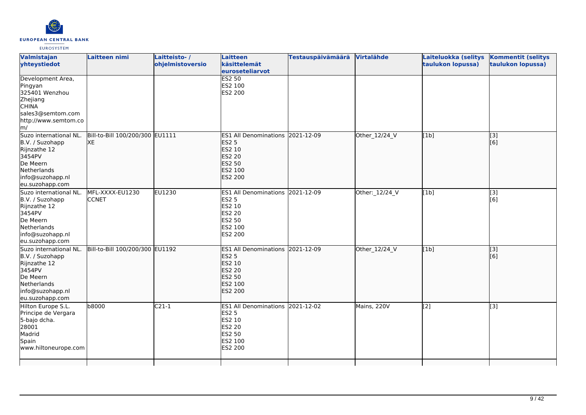

| Valmistajan<br>yhteystiedot                                                                                                               | Laitteen nimi                         | Laitteisto-/<br>ohjelmistoversio | Laitteen<br>käsittelemät<br>euroseteliarvot                                                                               | <b>Testauspäivämäärä</b> | Virtalähde     | Laiteluokka (selitys<br>taulukon lopussa) | <b>Kommentit (selitys</b><br>taulukon lopussa) |
|-------------------------------------------------------------------------------------------------------------------------------------------|---------------------------------------|----------------------------------|---------------------------------------------------------------------------------------------------------------------------|--------------------------|----------------|-------------------------------------------|------------------------------------------------|
| Development Area,<br>Pingyan<br>325401 Wenzhou<br>Zhejiang<br><b>CHINA</b><br>sales3@semtom.com<br>http://www.semtom.co<br>$\mathsf{Im}/$ |                                       |                                  | <b>ES2 50</b><br>ES2 100<br>ES2 200                                                                                       |                          |                |                                           |                                                |
| Suzo international NL.<br>B.V. / Suzohapp<br>Rijnzathe 12<br>3454PV<br>De Meern<br>Netherlands<br>info@suzohapp.nl<br>eu.suzohapp.com     | Bill-to-Bill 100/200/300 EU1111<br>XE |                                  | ES1 All Denominations 2021-12-09<br><b>ES2 5</b><br>ES2 10<br><b>ES2 20</b><br>ES2 50<br><b>ES2 100</b><br>ES2 200        |                          | Other_12/24_V  | [1b]                                      | $\overline{[3]}$<br>[6]                        |
| Suzo international NL.<br>B.V. / Suzohapp<br>Rijnzathe 12<br>3454PV<br>De Meern<br>Netherlands<br>info@suzohapp.nl<br>eu.suzohapp.com     | MFL-XXXX-EU1230<br><b>CCNET</b>       | EU1230                           | ES1 All Denominations 2021-12-09<br><b>ES2 5</b><br>ES2 10<br><b>ES2 20</b><br><b>ES2 50</b><br>ES2 100<br><b>ES2 200</b> |                          | Other: 12/24_V | [1b]                                      | [3]<br>[6]                                     |
| Suzo international NL.<br>B.V. / Suzohapp<br>Rijnzathe 12<br>3454PV<br>De Meern<br>Netherlands<br>info@suzohapp.nl<br>eu.suzohapp.com     | Bill-to-Bill 100/200/300 EU1192       |                                  | ES1 All Denominations 2021-12-09<br><b>ES2 5</b><br>ES2 10<br><b>ES2 20</b><br><b>ES2 50</b><br>ES2 100<br>ES2 200        |                          | Other_12/24_V  | [1b]                                      | $\overline{[}3]$<br>[6]                        |
| Hilton Europe S.L.<br>Principe de Vergara<br>5-bajo dcha.<br>28001<br>Madrid<br>Spain<br>www.hiltoneurope.com                             | b8000                                 | $C21-1$                          | ES1 All Denominations 2021-12-02<br><b>ES2 5</b><br>ES2 10<br><b>ES2 20</b><br>ES2 50<br>ES2 100<br>ES2 200               |                          | Mains, 220V    | $\overline{[2]}$                          | $\overline{[3]}$                               |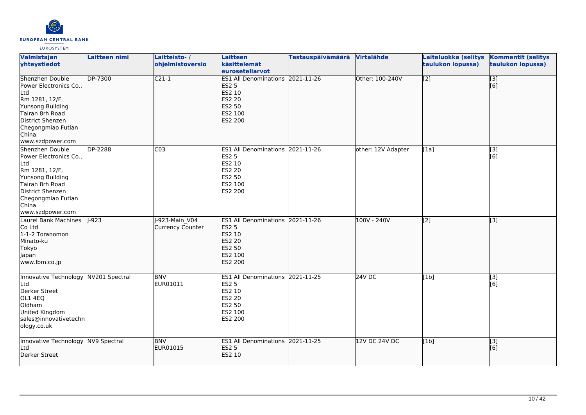

| Valmistajan<br>yhteystiedot                                                                                                                                                      | Laitteen nimi  | Laitteisto-/<br>ohjelmistoversio   | <b>Laitteen</b><br>käsittelemät<br>euroseteliarvot                                                                    | <b>Testauspäivämäärä</b> | Virtalähde         | Laiteluokka (selitys<br>taulukon lopussa) | <b>Kommentit (selitys</b><br>taulukon lopussa) |
|----------------------------------------------------------------------------------------------------------------------------------------------------------------------------------|----------------|------------------------------------|-----------------------------------------------------------------------------------------------------------------------|--------------------------|--------------------|-------------------------------------------|------------------------------------------------|
| Shenzhen Double<br>Power Electronics Co.,<br>Ltd<br>Rm 1281, 12/F,<br>Yunsong Building<br>Tairan 8rh Road<br>District Shenzen<br>Chegongmiao Futian<br>China<br>www.szdpower.com | <b>DP-7300</b> | $C21-1$                            | <b>ES1 All Denominations</b><br><b>ES2 5</b><br>ES2 10<br><b>ES2 20</b><br>ES2 50<br>ES2 100<br><b>ES2 200</b>        | $2021 - 11 - 26$         | Other: 100-240V    | $\overline{[2]}$                          | $\overline{[}3]$<br>[6]                        |
| Shenzhen Double<br>Power Electronics Co.,<br>Ltd<br>Rm 1281, 12/F,<br>Yunsong Building<br>Tairan 8rh Road<br>District Shenzen<br>Chegongmiao Futian<br>China<br>www.szdpower.com | DP-2288        | C <sub>03</sub>                    | <b>ES1 All Denominations</b><br><b>ES2 5</b><br>ES2 10<br>ES2 20<br>ES2 50<br>ES2 100<br>ES2 200                      | 2021-11-26               | other: 12V Adapter | [1a]                                      | $\overline{[}3]$<br>[6]                        |
| Laurel Bank Machines<br>Co Ltd<br>1-1-2 Toranomon<br>Minato-ku<br>Tokyo<br>Japan<br>www.lbm.co.jp                                                                                | $ -923$        | J-923-Main V04<br>Currency Counter | <b>ES1 All Denominations</b><br><b>ES2 5</b><br>ES2 10<br><b>ES2 20</b><br><b>ES2 50</b><br>ES2 100<br><b>ES2 200</b> | 2021-11-26               | $100V - 240V$      | $\overline{[2]}$                          | $\overline{[3]}$                               |
| Innovative Technology<br>Ltd<br>Derker Street<br>OL1 4EQ<br>Oldham<br>United Kingdom<br>sales@innovativetechn<br>ology.co.uk                                                     | NV201 Spectral | <b>BNV</b><br>EUR01011             | ES1 All Denominations 2021-11-25<br><b>ES2 5</b><br>ES2 10<br>ES2 20<br>ES2 50<br>ES2 100<br>ES2 200                  |                          | 24V DC             | [1b]                                      | $\overline{[}3]$<br>[6]                        |
| Innovative Technology<br>Ltd<br>Derker Street                                                                                                                                    | NV9 Spectral   | <b>BNV</b><br>EUR01015             | ES1 All Denominations 2021-11-25<br><b>ES2 5</b><br>ES2 10                                                            |                          | 12V DC 24V DC      | [1b]                                      | [3]<br>[6]                                     |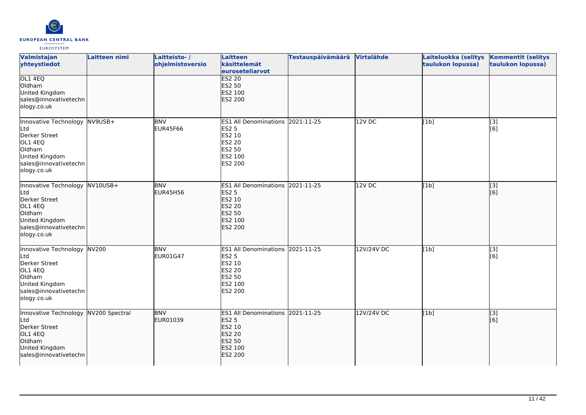

| Valmistajan<br>yhteystiedot                                                                                                           | Laitteen nimi | Laitteisto-/<br>ohjelmistoversio | Laitteen<br>käsittelemät<br>euroseteliarvot                                                                           | <b>Testauspäivämäärä</b> | Virtalähde | Laiteluokka (selitys<br>taulukon lopussa) | <b>Kommentit (selitys</b><br>taulukon lopussa) |
|---------------------------------------------------------------------------------------------------------------------------------------|---------------|----------------------------------|-----------------------------------------------------------------------------------------------------------------------|--------------------------|------------|-------------------------------------------|------------------------------------------------|
| OL1 4EQ<br>Oldham<br>United Kingdom<br>sales@innovativetechn<br>ology.co.uk                                                           |               |                                  | <b>ES2 20</b><br>ES2 50<br>ES2 100<br>ES2 200                                                                         |                          |            |                                           |                                                |
| Innovative Technology NV9USB+<br>Ltd<br>Derker Street<br>OL1 4EQ<br>Oldham<br>United Kingdom<br>sales@innovativetechn<br>ology.co.uk  |               | <b>BNV</b><br><b>EUR45F66</b>    | <b>ES1 All Denominations</b><br><b>ES2 5</b><br>ES2 10<br>ES2 20<br>ES2 50<br>ES2 100<br>ES2 200                      | 2021-11-25               | 12V DC     | [1b]                                      | [3]<br>[6]                                     |
| Innovative Technology NV10USB+<br>Ltd<br>Derker Street<br>OL1 4EQ<br>Oldham<br>United Kingdom<br>sales@innovativetechn<br>ology.co.uk |               | <b>BNV</b><br><b>EUR45H56</b>    | ES1 All Denominations 2021-11-25<br><b>ES2 5</b><br>ES2 10<br><b>ES2 20</b><br><b>ES2 50</b><br>ES2 100<br>ES2 200    |                          | $12V$ DC   | [1b]                                      | $\overline{[}3]$<br>[6]                        |
| Innovative Technology NV200<br>Ltd<br>Derker Street<br>OL1 4EQ<br>Oldham<br>United Kingdom<br>sales@innovativetechn<br>ology.co.uk    |               | <b>BNV</b><br>EUR01G47           | <b>ES1 All Denominations</b><br>ES2 5<br>ES2 10<br>ES2 20<br>ES2 50<br>ES2 100<br>ES2 200                             | 2021-11-25               | 12V/24V DC | [1b]                                      | $\overline{[3]}$<br>[6]                        |
| Innovative Technology NV200 Spectral<br>Ltd<br>Derker Street<br>OL1 4EQ<br>Oldham<br>United Kingdom<br>sales@innovativetechn          |               | <b>BNV</b><br>EUR01039           | <b>ES1 All Denominations</b><br><b>ES2 5</b><br>ES2 10<br><b>ES2 20</b><br><b>ES2 50</b><br>ES2 100<br><b>ES2 200</b> | 2021-11-25               | 12V/24V DC | [1b]                                      | [3]<br>[6]                                     |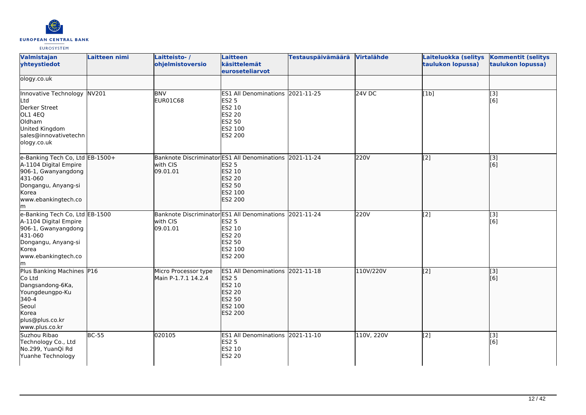

| Valmistajan<br>yhteystiedot                                                                                                                             | Laitteen nimi | Laitteisto-/<br>ohjelmistoversio                                                | <b>Laitteen</b><br>käsittelemät<br>euroseteliarvot                                                   | <b>Testauspäivämäärä</b> | Virtalähde | Laiteluokka (selitys<br>taulukon lopussa) | <b>Kommentit (selitys</b><br>taulukon lopussa) |
|---------------------------------------------------------------------------------------------------------------------------------------------------------|---------------|---------------------------------------------------------------------------------|------------------------------------------------------------------------------------------------------|--------------------------|------------|-------------------------------------------|------------------------------------------------|
| ology.co.uk                                                                                                                                             |               |                                                                                 |                                                                                                      |                          |            |                                           |                                                |
| Innovative Technology NV201<br><b>L</b> td<br>Derker Street<br>OL1 4EQ<br>Oldham<br>United Kingdom<br>sales@innovativetechn<br>ology.co.uk              |               | <b>BNV</b><br>EUR01C68                                                          | ES1 All Denominations 2021-11-25<br>ES2 5<br>ES2 10<br>ES2 20<br>ES2 50<br>ES2 100<br>ES2 200        |                          | $24V$ DC   | [1b]                                      | [3]<br>[6]                                     |
| e-Banking Tech Co, Ltd EB-1500+<br>A-1104 Digital Empire<br>906-1, Gwanyangdong<br>431-060<br>Dongangu, Anyang-si<br>Korea<br>www.ebankingtech.co<br>lm |               | Banknote Discriminator ES1 All Denominations 2021-11-24<br>with CIS<br>09.01.01 | ES2 5<br>ES2 10<br>ES2 20<br>ES2 50<br>ES2 100<br>ES2 200                                            |                          | 220V       | $\overline{[2]}$                          | $\overline{[}3]$<br>[6]                        |
| e-Banking Tech Co, Ltd EB-1500<br>A-1104 Digital Empire<br>906-1, Gwanyangdong<br>431-060<br>Dongangu, Anyang-si<br>Korea<br>www.ebankingtech.co<br>lm. |               | <b>Banknote Discriminator</b><br>with CIS<br>09.01.01                           | ES1 All Denominations 2021-11-24<br>ES2 5<br>ES2 10<br>ES2 20<br>ES2 50<br>ES2 100<br>ES2 200        |                          | 220V       | [2]                                       | [3]<br>[6]                                     |
| Plus Banking Machines P16<br>Co Ltd<br>Dangsandong-6Ka,<br>Youngdeungpo-Ku<br>340-4<br>Seoul<br>Korea<br>plus@plus.co.kr<br>www.plus.co.kr              |               | Micro Processor type<br>Main P-1.7.1 14.2.4                                     | ES1 All Denominations 2021-11-18<br><b>ES2 5</b><br>ES2 10<br>ES2 20<br>ES2 50<br>ES2 100<br>ES2 200 |                          | 110V/220V  | $\left[2\right]$                          | [[3]<br>[[6]                                   |
| Suzhou Ribao<br>Technology Co., Ltd<br>No.299, YuanQi Rd<br>Yuanhe Technology                                                                           | <b>BC-55</b>  | 020105                                                                          | ES1 All Denominations 2021-11-10<br>ES2 5<br>ES2 10<br>ES2 20                                        |                          | 110V, 220V | [2]                                       | [3]<br>[6]                                     |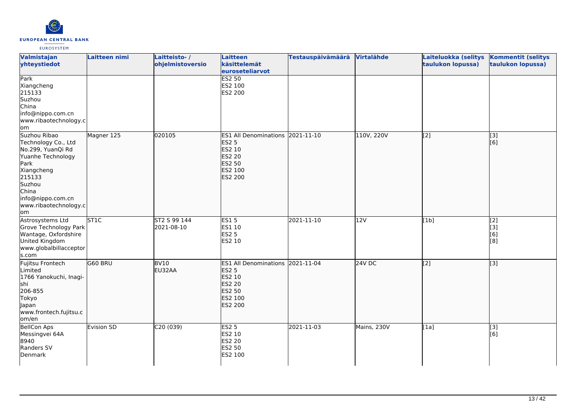

| Valmistajan<br>yhteystiedot                                                                                                                                                           | Laitteen nimi | Laitteisto-/<br>ohjelmistoversio | <b>Laitteen</b><br>käsittelemät<br>euroseteliarvot                                                                 | <b>Testauspäivämäärä</b> | Virtalähde  | Laiteluokka (selitys<br>taulukon lopussa) | <b>Kommentit (selitys</b><br>taulukon lopussa) |
|---------------------------------------------------------------------------------------------------------------------------------------------------------------------------------------|---------------|----------------------------------|--------------------------------------------------------------------------------------------------------------------|--------------------------|-------------|-------------------------------------------|------------------------------------------------|
| Park<br>Xiangcheng<br>215133<br>Suzhou<br>China<br>info@nippo.com.cn<br>www.ribaotechnology.c<br>lom                                                                                  |               |                                  | <b>ES2 50</b><br>ES2 100<br>ES2 200                                                                                |                          |             |                                           |                                                |
| Suzhou Ribao<br>Technology Co., Ltd<br>No.299, YuanQi Rd<br>Yuanhe Technology<br>Park<br>Xiangcheng<br>215133<br>Suzhou<br>China<br>info@nippo.com.cn<br>www.ribaotechnology.c<br>lom | Magner 125    | 020105                           | ES1 All Denominations 2021-11-10<br><b>ES2 5</b><br>ES2 10<br><b>ES2 20</b><br><b>ES2 50</b><br>ES2 100<br>ES2 200 |                          | 110V, 220V  | [2]                                       | $\overline{[3]}$<br>[6]                        |
| Astrosystems Ltd<br>Grove Technology Park<br>Wantage, Oxfordshire<br>United Kingdom<br>www.globalbillacceptor<br>s.com                                                                | <b>ST1C</b>   | ST2 S 99 144<br>2021-08-10       | <b>ES15</b><br>ES1 10<br><b>ES2 5</b><br>ES2 10                                                                    | 2021-11-10               | 12V         | [1b]                                      | $\overline{[2]}$<br>[3]<br>[6]<br>[8]          |
| Fujitsu Frontech<br>Limited<br>1766 Yanokuchi, Inagi-<br>shi<br>206-855<br>Tokyo<br>Japan<br>www.frontech.fujitsu.c<br>om/en                                                          | G60 BRU       | <b>BV10</b><br>EU32AA            | <b>ES1 All Denominations</b><br><b>ES2 5</b><br>ES2 10<br>ES2 20<br>ES2 50<br>ES2 100<br><b>ES2 200</b>            | 2021-11-04               | 24V DC      | [2]                                       | $\overline{[}3]$                               |
| <b>BellCon Aps</b><br>Messingvei 64A<br>8940<br>Randers SV<br>Denmark                                                                                                                 | Evision SD    | C20(039)                         | ES2 <sub>5</sub><br>ES2 10<br>ES2 20<br>ES2 50<br>ES2 100                                                          | 2021-11-03               | Mains, 230V | [1a]                                      | $\overline{[3]}$<br>[6]                        |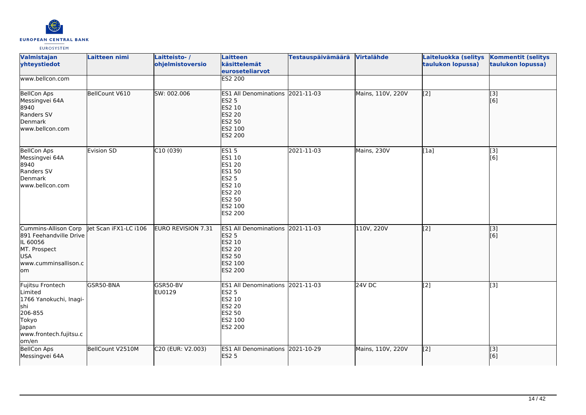

| Valmistajan<br>yhteystiedot                                                                                                  | Laitteen nimi         | Laitteisto-/<br>ohjelmistoversio | <b>Laitteen</b><br>käsittelemät<br>euroseteliarvot                                                                          | <b>Testauspäivämäärä</b> | <b>Virtalähde</b> | Laiteluokka (selitys<br>taulukon lopussa) | <b>Kommentit (selitys</b><br>taulukon lopussa) |
|------------------------------------------------------------------------------------------------------------------------------|-----------------------|----------------------------------|-----------------------------------------------------------------------------------------------------------------------------|--------------------------|-------------------|-------------------------------------------|------------------------------------------------|
| www.bellcon.com                                                                                                              |                       |                                  | <b>ES2 200</b>                                                                                                              |                          |                   |                                           |                                                |
| <b>BellCon Aps</b><br>Messingvei 64A<br>8940<br>Randers SV<br>Denmark<br>www.bellcon.com                                     | BellCount V610        | SW: 002.006                      | ES1 All Denominations 2021-11-03<br><b>ES2 5</b><br><b>ES2 10</b><br><b>ES2 20</b><br>ES2 50<br>ES2 100<br><b>ES2 200</b>   |                          | Mains, 110V, 220V | [[2]                                      | [3]<br>[6]                                     |
| <b>BellCon Aps</b><br>Messingvei 64A<br>8940<br>Randers SV<br>Denmark<br>www.bellcon.com                                     | <b>Evision SD</b>     | C10(039)                         | <b>ES15</b><br>ES1 10<br>ES1 20<br><b>ES1 50</b><br><b>ES2 5</b><br>ES2 10<br><b>ES2 20</b><br>ES2 50<br>ES2 100<br>ES2 200 | 2021-11-03               | Mains, 230V       | [1a]                                      | [3]<br>[6]                                     |
| Cummins-Allison Corp<br>891 Feehandville Drive<br>IL 60056<br>MT. Prospect<br><b>USA</b><br>www.cumminsallison.c<br>lom      | let Scan iFX1-LC i106 | EURO REVISION 7.31               | ES1 All Denominations 2021-11-03<br><b>ES2 5</b><br><b>ES2 10</b><br>ES2 20<br><b>ES2 50</b><br>ES2 100<br><b>ES2 200</b>   |                          | 110V, 220V        | [2]                                       | [3]<br>[6]                                     |
| Fujitsu Frontech<br>Limited<br>1766 Yanokuchi, Inagi-<br>shi<br>206-855<br>Tokyo<br>Japan<br>www.frontech.fujitsu.c<br>om/en | GSR50-BNA             | GSR50-BV<br>EU0129               | ES1 All Denominations 2021-11-03<br><b>ES2 5</b><br>ES2 10<br>ES2 20<br>ES2 50<br>ES2 100<br>ES2 200                        |                          | <b>24V DC</b>     | [2]                                       | $[3]$                                          |
| <b>BellCon Aps</b><br>Messingvei 64A                                                                                         | BellCount V2510M      | C20 (EUR: V2.003)                | ES1 All Denominations 2021-10-29<br><b>ES2 5</b>                                                                            |                          | Mains, 110V, 220V | [2]                                       | [3]<br>[6]                                     |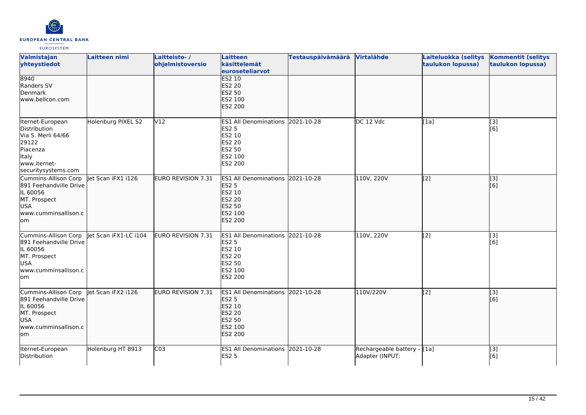

| Valmistajan<br>yhteystiedot                                                                                                 | Laitteen nimi         | Laitteisto-/<br>ohjelmistoversio | <b>Laitteen</b><br>käsittelemät<br>euroseteliarvot                                                                        | <b>Testauspäivämäärä</b> | Virtalähde                                     | Laiteluokka (selitys<br>taulukon lopussa) | <b>Kommentit (selitys</b><br>taulukon lopussa) |
|-----------------------------------------------------------------------------------------------------------------------------|-----------------------|----------------------------------|---------------------------------------------------------------------------------------------------------------------------|--------------------------|------------------------------------------------|-------------------------------------------|------------------------------------------------|
| 8940<br>Randers SV<br>Denmark<br>www.bellcon.com                                                                            |                       |                                  | ES2 10<br><b>ES2 20</b><br><b>ES2 50</b><br>ES2 100<br><b>ES2 200</b>                                                     |                          |                                                |                                           |                                                |
| Iternet-European<br>Distribution<br>Via S. Merli 64/66<br>29122<br>Piacenza<br>Italy<br>www.iternet-<br>securitysystems.com | Holenburg PIXEL S2    | V12                              | <b>ES1 All Denominations</b><br><b>ES2 5</b><br>ES2 10<br><b>ES2 20</b><br><b>ES2 50</b><br>ES2 100<br>ES2 200            | 2021-10-28               | DC 12 Vdc                                      | [1a]                                      | [3]<br>[6]                                     |
| Cummins-Allison Corp<br>891 Feehandville Drive<br>IL 60056<br>MT. Prospect<br><b>USA</b><br>www.cumminsallison.c<br>lom     | let Scan iFX1 i126    | <b>EURO REVISION 7.31</b>        | ES1 All Denominations 2021-10-28<br><b>ES2 5</b><br>ES2 10<br><b>ES2 20</b><br><b>ES2 50</b><br>ES2 100<br><b>ES2 200</b> |                          | 110V, 220V                                     | [2]                                       | [3]<br>[[6]                                    |
| Cummins-Allison Corp<br>891 Feehandville Drive<br>IL 60056<br>MT. Prospect<br><b>USA</b><br>www.cumminsallison.c<br>lom     | let Scan iFX1-LC i104 | EURO REVISION 7.31               | ES1 All Denominations 2021-10-28<br><b>ES2 5</b><br>ES2 10<br><b>ES2 20</b><br><b>ES2 50</b><br>ES2 100<br><b>ES2 200</b> |                          | 110V, 220V                                     | [2]                                       | [3]<br>[6]                                     |
| Cummins-Allison Corp<br>891 Feehandville Drive<br>IL 60056<br>MT. Prospect<br><b>USA</b><br>www.cumminsallison.c<br>om/     | et Scan iFX2 i126     | <b>EURO REVISION 7.31</b>        | <b>ES1 All Denominations</b><br><b>ES2 5</b><br>ES2 10<br><b>ES2 20</b><br><b>ES2 50</b><br>ES2 100<br><b>ES2 200</b>     | 2021-10-28               | 110V/220V                                      | [2]                                       | [[3]<br>[6]                                    |
| Iternet-European<br>Distribution                                                                                            | Holenburg HT 8913     | C <sub>03</sub>                  | ES1 All Denominations 2021-10-28<br><b>ES2 5</b>                                                                          |                          | Rechargeable battery - [1a]<br>Adapter (INPUT: |                                           | [3]<br>[6]                                     |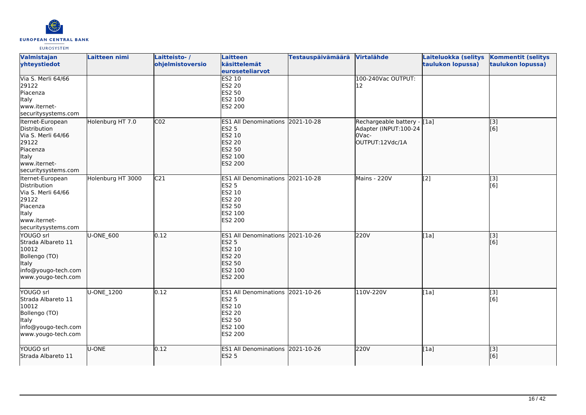

| Valmistajan<br>yhteystiedot                                                                                                        | Laitteen nimi     | Laitteisto-/<br>ohjelmistoversio | Laitteen<br>käsittelemät<br>euroseteliarvot                                                                    | <b>Testauspäivämäärä</b> | Virtalähde                                                                        | Laiteluokka (selitys<br>taulukon lopussa)      | <b>Kommentit (selitys</b><br>taulukon lopussa) |
|------------------------------------------------------------------------------------------------------------------------------------|-------------------|----------------------------------|----------------------------------------------------------------------------------------------------------------|--------------------------|-----------------------------------------------------------------------------------|------------------------------------------------|------------------------------------------------|
| Via S. Merli 64/66<br>29122<br>Piacenza<br><b>Italy</b><br>www.iternet-<br>securitysystems.com                                     |                   |                                  | <b>ES2 10</b><br><b>ES2 20</b><br><b>ES2 50</b><br>ES2 100<br>ES2 200                                          |                          | 100-240Vac OUTPUT:<br>12                                                          |                                                |                                                |
| Iternet-European<br>Distribution<br>Via S. Merli 64/66<br>29122<br>Piacenza<br>Italy<br>www.iternet-<br>securitysystems.com        | Holenburg HT 7.0  | CO <sub>2</sub>                  | <b>ES1 All Denominations</b><br><b>ES2 5</b><br>ES2 10<br><b>ES2 20</b><br>ES2 50<br>ES2 100<br><b>ES2 200</b> | 2021-10-28               | Rechargeable battery - [[1a]<br>Adapter (INPUT:100-24<br>OVac-<br>OUTPUT:12Vdc/1A |                                                | [[3]<br>[[6]                                   |
| Iternet-European<br>Distribution<br>Via S. Merli 64/66<br>29122<br>Piacenza<br><b>Italy</b><br>www.iternet-<br>securitysystems.com | Holenburg HT 3000 | C <sub>21</sub>                  | ES1 All Denominations 2021-10-28<br><b>ES2 5</b><br>ES2 10<br><b>ES2 20</b><br>ES2 50<br>ES2 100<br>ES2 200    |                          | <b>Mains - 220V</b>                                                               | $\left[ \begin{matrix} 2 \end{matrix} \right]$ | [3]<br>[6]                                     |
| YOUGO srl<br>Strada Albareto 11<br>10012<br>Bollengo (TO)<br>Italy<br>info@yougo-tech.com<br>www.yougo-tech.com                    | U-ONE_600         | 0.12                             | ES1 All Denominations 2021-10-26<br><b>ES2 5</b><br>ES2 10<br><b>ES2 20</b><br>ES2 50<br>ES2 100<br>ES2 200    |                          | 220V                                                                              | [1a]                                           | $\overline{[}$ [3]<br>[6]                      |
| YOUGO srl<br>Strada Albareto 11<br>10012<br>Bollengo (TO)<br><b>Italy</b><br>info@yougo-tech.com<br>www.yougo-tech.com             | <b>U-ONE 1200</b> | 0.12                             | ES1 All Denominations 2021-10-26<br><b>ES2 5</b><br>ES2 10<br><b>ES2 20</b><br>ES2 50<br>ES2 100<br>ES2 200    |                          | 110V-220V                                                                         | [1a]                                           | $\overline{[3]}$<br>[6]                        |
| YOUGO srl<br>Strada Albareto 11                                                                                                    | U-ONE             | 0.12                             | ES1 All Denominations 2021-10-26<br><b>ES2 5</b>                                                               |                          | 220V                                                                              | [1a]                                           | $\overline{[}$ [3]<br>[6]                      |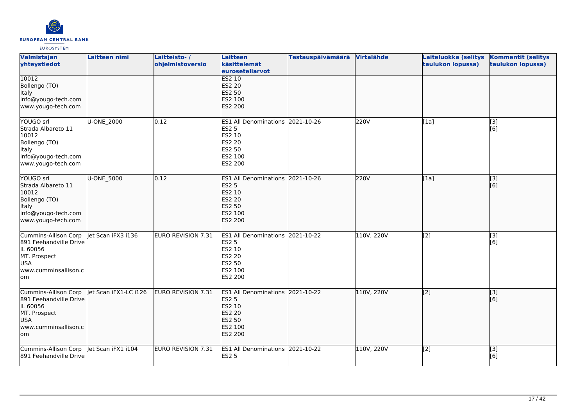

| Valmistajan<br>yhteystiedot                                                                                             | <b>Laitteen nimi</b>  | Laitteisto-/<br>ohjelmistoversio | Laitteen<br>käsittelemät<br>euroseteliarvot                                                                        | <b>Testauspäivämäärä</b> | Virtalähde | Laiteluokka (selitys<br>taulukon lopussa) | <b>Kommentit (selitys</b><br>taulukon lopussa) |
|-------------------------------------------------------------------------------------------------------------------------|-----------------------|----------------------------------|--------------------------------------------------------------------------------------------------------------------|--------------------------|------------|-------------------------------------------|------------------------------------------------|
| 10012<br>Bollengo (TO)<br>Italy<br>info@yougo-tech.com<br>www.yougo-tech.com                                            |                       |                                  | <b>ES2 10</b><br>ES2 20<br><b>ES2 50</b><br>ES2 100<br><b>ES2 200</b>                                              |                          |            |                                           |                                                |
| YOUGO srl<br>Strada Albareto 11<br>10012<br>Bollengo (TO)<br>Italy<br>info@yougo-tech.com<br>www.yougo-tech.com         | U-ONE_2000            | 0.12                             | <b>ES1 All Denominations</b><br>ES2 5<br>ES2 10<br><b>ES2 20</b><br>ES2 50<br>ES2 100<br>ES2 200                   | 2021-10-26               | 220V       | [1a]                                      | [3]<br>[6]                                     |
| YOUGO srl<br>Strada Albareto 11<br>10012<br>Bollengo (TO)<br>Italy<br>info@yougo-tech.com<br>www.yougo-tech.com         | U-ONE_5000            | 0.12                             | ES1 All Denominations 2021-10-26<br><b>ES2 5</b><br>ES2 10<br><b>ES2 20</b><br>ES2 50<br>ES2 100<br><b>ES2 200</b> |                          | 220V       | [1a]                                      | [3]<br>[6]                                     |
| Cummins-Allison Corp<br>891 Feehandville Drive<br>IL 60056<br>MT. Prospect<br><b>USA</b><br>www.cumminsallison.c<br>lom | Jet Scan iFX3 i136    | EURO REVISION 7.31               | ES1 All Denominations 2021-10-22<br><b>ES2 5</b><br>ES2 10<br>ES2 20<br>ES2 50<br>ES2 100<br>ES2 200               |                          | 110V, 220V | [2]                                       | [3]<br>[6]                                     |
| Cummins-Allison Corp<br>891 Feehandville Drive<br>IL 60056<br>MT. Prospect<br>USA<br>www.cumminsallison.c<br>lom        | let Scan iFX1-LC i126 | EURO REVISION 7.31               | ES1 All Denominations 2021-10-22<br><b>ES2 5</b><br>ES2 10<br><b>ES2 20</b><br>ES2 50<br>ES2 100<br><b>ES2 200</b> |                          | 110V, 220V | [2]                                       | [3]<br>[6]                                     |
| Cummins-Allison Corp   et Scan iFX1 i104<br>891 Feehandville Drive                                                      |                       | EURO REVISION 7.31               | ES1 All Denominations 2021-10-22<br><b>ES2 5</b>                                                                   |                          | 110V, 220V | [2]                                       | [3]<br>[6]                                     |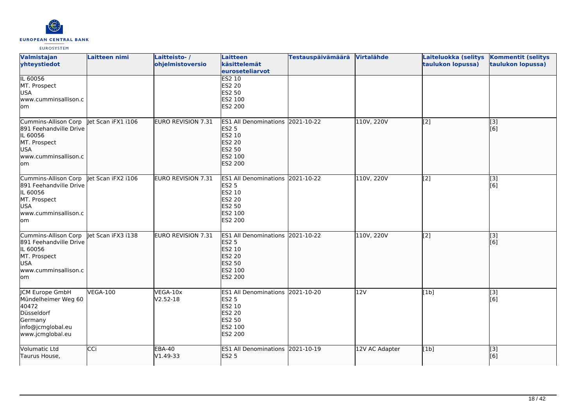

| Valmistajan<br>yhteystiedot                                                                                             | Laitteen nimi      | Laitteisto-/<br>ohjelmistoversio | Laitteen<br>käsittelemät<br>euroseteliarvot                                                                               | <b>Testauspäivämäärä</b> | Virtalähde     | Laiteluokka (selitys<br>taulukon lopussa) | <b>Kommentit (selitys</b><br>taulukon lopussa) |
|-------------------------------------------------------------------------------------------------------------------------|--------------------|----------------------------------|---------------------------------------------------------------------------------------------------------------------------|--------------------------|----------------|-------------------------------------------|------------------------------------------------|
| IL 60056<br>MT. Prospect<br><b>USA</b><br>www.cumminsallison.c<br>lom                                                   |                    |                                  | <b>ES2 10</b><br><b>ES2 20</b><br><b>ES2 50</b><br>ES2 100<br><b>ES2 200</b>                                              |                          |                |                                           |                                                |
| Cummins-Allison Corp<br>891 Feehandville Drive<br>IL 60056<br>MT. Prospect<br>USA<br>www.cumminsallison.c<br>lom        | let Scan iFX1 i106 | EURO REVISION 7.31               | <b>ES1 All Denominations</b><br><b>ES2 5</b><br>ES2 10<br><b>ES2 20</b><br><b>ES2 50</b><br>ES2 100<br>ES2 200            | 2021-10-22               | 110V, 220V     | [2]                                       | [[3]<br>[6]                                    |
| Cummins-Allison Corp<br>891 Feehandville Drive<br>IL 60056<br>MT. Prospect<br><b>USA</b><br>www.cumminsallison.c<br>lom | let Scan iFX2 i106 | <b>EURO REVISION 7.31</b>        | <b>ES1 All Denominations</b><br><b>ES2 5</b><br>ES2 10<br><b>ES2 20</b><br>ES2 50<br>ES2 100<br>ES2 200                   | 2021-10-22               | 110V, 220V     | [2]                                       | $\overline{[3]}$<br>[6]                        |
| Cummins-Allison Corp<br>891 Feehandville Drive<br>IL 60056<br>MT. Prospect<br><b>USA</b><br>www.cumminsallison.c<br>lom | let Scan iFX3 i138 | EURO REVISION 7.31               | ES1 All Denominations 2021-10-22<br><b>ES2 5</b><br>ES2 10<br><b>ES2 20</b><br><b>ES2 50</b><br>ES2 100<br><b>ES2 200</b> |                          | 110V, 220V     | [2]                                       | [3]<br>[6]                                     |
| ICM Europe GmbH<br>Mündelheimer Weg 60<br>40472<br>Düsseldorf<br>Germany<br>info@jcmglobal.eu<br>www.jcmglobal.eu       | <b>VEGA-100</b>    | VEGA-10x<br>$V2.52-18$           | ES1 All Denominations 2021-10-20<br><b>ES2 5</b><br>ES2 10<br><b>ES2 20</b><br><b>ES2 50</b><br>ES2 100<br>ES2 200        |                          | 12V            | [1b]                                      | [3]<br>[6]                                     |
| Volumatic Ltd<br>Taurus House,                                                                                          | CCi                | <b>EBA-40</b><br>V1.49-33        | ES1 All Denominations 2021-10-19<br><b>ES2 5</b>                                                                          |                          | 12V AC Adapter | [1b]                                      | $\overline{[}$ [3]<br>[6]                      |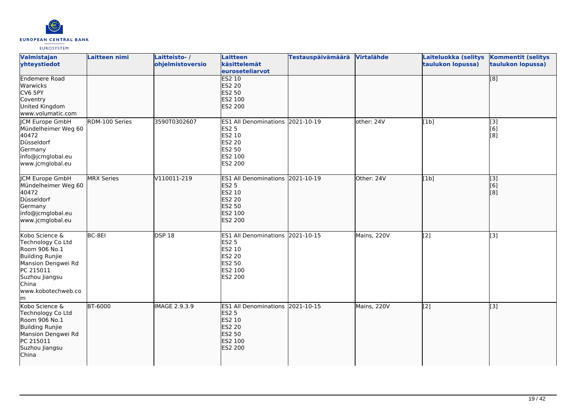

| Valmistajan<br>yhteystiedot                                                                                                                                             | Laitteen nimi     | Laitteisto-/<br>ohjelmistoversio | <b>Laitteen</b><br>käsittelemät<br>euroseteliarvot                                                                        | <b>Testauspäivämäärä</b> | Virtalähde  | Laiteluokka (selitys<br>taulukon lopussa) | <b>Kommentit (selitys</b><br>taulukon lopussa) |
|-------------------------------------------------------------------------------------------------------------------------------------------------------------------------|-------------------|----------------------------------|---------------------------------------------------------------------------------------------------------------------------|--------------------------|-------------|-------------------------------------------|------------------------------------------------|
| <b>Endemere Road</b><br>Warwicks<br>CV6 5PY<br>Coventry<br>United Kingdom<br>www.volumatic.com                                                                          |                   |                                  | <b>ES2 10</b><br><b>ES2 20</b><br><b>ES2 50</b><br>ES2 100<br><b>ES2 200</b>                                              |                          |             |                                           | $\overline{[8]}$                               |
| <b>CM Europe GmbH</b><br>Mündelheimer Weg 60<br>40472<br>Düsseldorf<br>Germany<br>info@jcmglobal.eu<br>www.jcmglobal.eu                                                 | RDM-100 Series    | 3590T0302607                     | <b>ES1 All Denominations</b><br><b>ES2 5</b><br>ES2 10<br><b>ES2 20</b><br><b>ES2 50</b><br>ES2 100<br>ES2 200            | 2021-10-19               | other: 24V  | [1b]                                      | [3]<br>[6]<br>[8]                              |
| <b>JCM Europe GmbH</b><br>Mündelheimer Weg 60<br>40472<br>Düsseldorf<br>Germany<br>info@jcmglobal.eu<br>www.jcmglobal.eu                                                | <b>MRX Series</b> | V110011-219                      | ES1 All Denominations 2021-10-19<br><b>ES2 5</b><br>ES2 10<br><b>ES2 20</b><br><b>ES2 50</b><br>ES2 100<br><b>ES2 200</b> |                          | Other: 24V  | [1b]                                      | $\overline{[3]}$<br>[6]<br>[8]                 |
| Kobo Science &<br>Technology Co Ltd<br>Room 906 No.1<br><b>Building Runjie</b><br>Mansion Dengwei Rd<br>PC 215011<br>Suzhou Jiangsu<br>China<br>www.kobotechweb.co<br>m | BC-8EI            | DSP18                            | ES1 All Denominations 2021-10-15<br><b>ES2 5</b><br>ES2 10<br><b>ES2 20</b><br>ES2 50<br>ES2 100<br>ES2 200               |                          | Mains, 220V | [2]                                       | $\overline{[3]}$                               |
| Kobo Science &<br>Technology Co Ltd<br>Room 906 No.1<br>Building Runjie<br>Mansion Dengwei Rd<br>PC 215011<br>Suzhou Jiangsu<br>China                                   | <b>BT-6000</b>    | <b>IMAGE 2.9.3.9</b>             | ES1 All Denominations 2021-10-15<br><b>ES2 5</b><br>ES2 10<br><b>ES2 20</b><br>ES2 50<br>ES2 100<br><b>ES2 200</b>        |                          | Mains, 220V | $\overline{[2]}$                          | $\overline{[}3]$                               |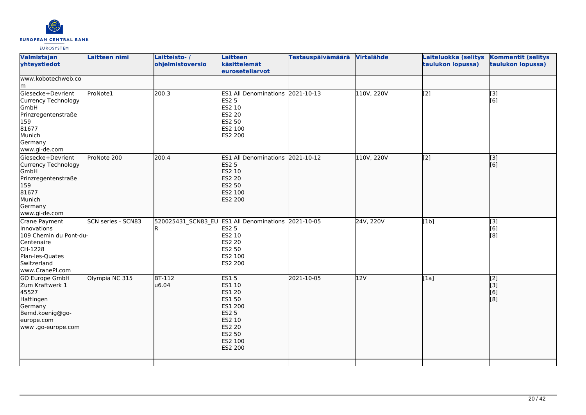

|                                              | Laitteisto-/<br>ohjelmistoversio | Laitteen<br>käsittelemät<br>euroseteliarvot                                                                                            | <b>Testauspäivämäärä</b> | Virtalähde                                                                                                                  | Laiteluokka (selitys<br>taulukon lopussa)    | <b>Kommentit (selitys</b><br>taulukon lopussa) |
|----------------------------------------------|----------------------------------|----------------------------------------------------------------------------------------------------------------------------------------|--------------------------|-----------------------------------------------------------------------------------------------------------------------------|----------------------------------------------|------------------------------------------------|
|                                              |                                  |                                                                                                                                        |                          |                                                                                                                             |                                              |                                                |
| ProNote1                                     | 200.3                            | <b>ES2 5</b><br>ES2 10<br>ES2 20<br>ES2 50<br>ES2 100<br>ES2 200                                                                       |                          |                                                                                                                             | $\overline{[2]}$                             | [3]<br>[6]                                     |
|                                              |                                  | <b>ES2 5</b><br>ES2 10<br>ES2 20<br>ES2 50<br>ES2 100<br>ES2 200                                                                       |                          |                                                                                                                             |                                              | $\sqrt{3}$<br>[6]                              |
| SCN series - SCN83<br>109 Chemin du Pont-du- |                                  | <b>ES2 5</b><br>ES2 10<br>ES2 20<br>ES2 50<br>ES2 200                                                                                  |                          |                                                                                                                             | [1b]                                         | [3]<br>[6]<br>[8]                              |
| Olympia NC 315                               | u6.04                            | <b>ES15</b><br>ES1 10<br><b>ES1 20</b><br>ES1 50<br>ES1 200<br><b>ES2 5</b><br>ES2 10<br><b>ES2 20</b><br>ES2 50<br>ES2 100<br>ES2 200 | 2021-10-05               |                                                                                                                             | $\overline{[1a]}$                            | $\overline{[2]}$<br>$\vert$ [3]<br>[6]<br>[8]  |
|                                              | ProNote 200                      | 200.4<br>$BT-112$                                                                                                                      | ES2 100                  | ES1 All Denominations 2021-10-13<br>ES1 All Denominations 2021-10-12<br>520025431_SCN83_EU ES1 All Denominations 2021-10-05 | 110V, 220V<br>110V, 220V<br>24V, 220V<br>12V | $\overline{[2]}$                               |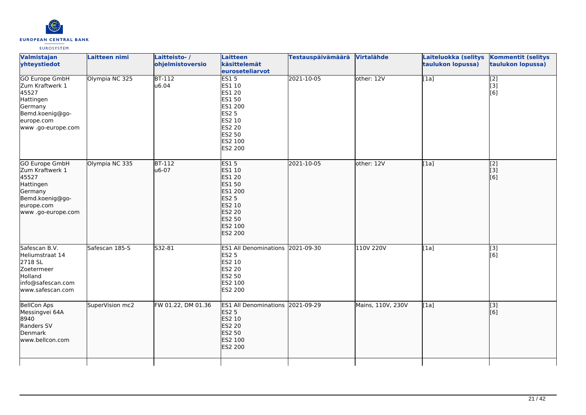

| Valmistajan<br>yhteystiedot                                                                                                     | Laitteen nimi   | Laitteisto-/<br>ohjelmistoversio | Laitteen<br>käsittelemät<br>euroseteliarvot                                                                              | <b>Testauspäivämäärä</b> | Virtalähde        | Laiteluokka (selitys<br>taulukon lopussa) | <b>Kommentit (selitys</b><br>taulukon lopussa)         |
|---------------------------------------------------------------------------------------------------------------------------------|-----------------|----------------------------------|--------------------------------------------------------------------------------------------------------------------------|--------------------------|-------------------|-------------------------------------------|--------------------------------------------------------|
| <b>GO Europe GmbH</b><br>Zum Kraftwerk 1<br>45527<br>Hattingen<br>Germany<br>Bemd.koenig@go-<br>europe.com<br>www.go-europe.com | Olympia NC 325  | $BT-112$<br>u6.04                | ES15<br>ES1 10<br>ES1 20<br>ES1 50<br>ES1 200<br><b>ES2 5</b><br>ES2 10<br><b>ES2 20</b><br>ES2 50<br>ES2 100<br>ES2 200 | 2021-10-05               | other: 12V        | $\overline{[1a]}$                         | $\overline{[2]}$<br>$\overline{[}3\overline{]}$<br>[6] |
| GO Europe GmbH<br>Zum Kraftwerk 1<br>45527<br>Hattingen<br>Germany<br>Bemd.koenig@go-<br>europe.com<br>www.go-europe.com        | Olympia NC 335  | <b>BT-112</b><br>u6-07           | <b>ES15</b><br>ES1 10<br>ES1 20<br>ES1 50<br>ES1 200<br><b>ES2 5</b><br>ES2 10<br>ES2 20<br>ES2 50<br>ES2 100<br>ES2 200 | 2021-10-05               | other: 12V        | [1a]                                      | $\begin{bmatrix} 2 \\ 3 \end{bmatrix}$<br>[6]          |
| Safescan B.V.<br>Heliumstraat 14<br>2718 SL<br>Zoetermeer<br>Holland<br>info@safescan.com<br>www.safescan.com                   | Safescan 185-S  | S32-81                           | ES1 All Denominations 2021-09-30<br><b>ES2 5</b><br>ES2 10<br>ES2 20<br>ES2 50<br>ES2 100<br>ES2 200                     |                          | 110V 220V         | [1a]                                      | $\overline{[3]}$<br>[6]                                |
| <b>BellCon Aps</b><br>Messingvei 64A<br>8940<br>Randers SV<br>Denmark<br>www.bellcon.com                                        | SuperVision mc2 | FW 01.22, DM 01.36               | ES1 All Denominations 2021-09-29<br><b>ES2 5</b><br>ES2 10<br><b>ES2 20</b><br>ES2 50<br>ES2 100<br>ES2 200              |                          | Mains, 110V, 230V | [1a]                                      | $\vert$ [3]<br>[6]                                     |
|                                                                                                                                 |                 |                                  |                                                                                                                          |                          |                   |                                           |                                                        |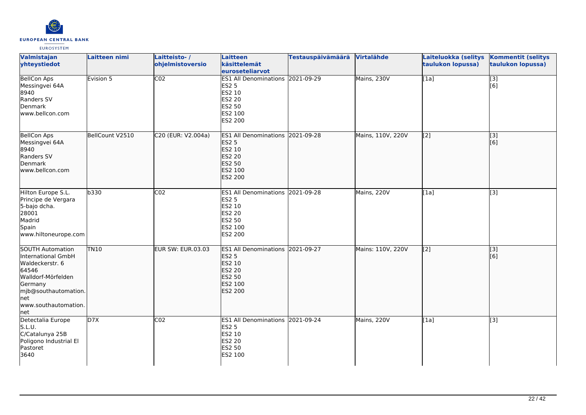

| Valmistajan<br>yhteystiedot                                                                                                                                                        | <b>Laitteen nimi</b> | Laitteisto-/<br>ohjelmistoversio | <b>Laitteen</b><br>käsittelemät<br>euroseteliarvot                                                                 | <b>Testauspäivämäärä</b> | Virtalähde        | Laiteluokka (selitys<br>taulukon lopussa) | <b>Kommentit (selitys</b><br>taulukon lopussa) |
|------------------------------------------------------------------------------------------------------------------------------------------------------------------------------------|----------------------|----------------------------------|--------------------------------------------------------------------------------------------------------------------|--------------------------|-------------------|-------------------------------------------|------------------------------------------------|
| <b>BellCon Aps</b><br>Messingvei 64A<br>8940<br>Randers SV<br>Denmark<br>www.bellcon.com                                                                                           | Evision 5            | $\overline{CO2}$                 | ES1 All Denominations 2021-09-29<br><b>ES2 5</b><br>ES2 10<br>ES2 20<br>ES2 50<br>ES2 100<br>ES2 200               |                          | Mains, 230V       | [1a]                                      | $\overline{[}3]$<br>[6]                        |
| <b>BellCon Aps</b><br>Messingvei 64A<br>8940<br>Randers SV<br>Denmark<br>www.bellcon.com                                                                                           | BellCount V2510      | C20 (EUR: V2.004a)               | ES1 All Denominations 2021-09-28<br><b>ES2 5</b><br>ES2 10<br><b>ES2 20</b><br><b>ES2 50</b><br>ES2 100<br>ES2 200 |                          | Mains, 110V, 220V | [2]                                       | [3]<br>[6]                                     |
| Hilton Europe S.L.<br>Principe de Vergara<br>5-bajo dcha.<br>28001<br>Madrid<br>Spain<br>www.hiltoneurope.com                                                                      | b330                 | CO <sub>2</sub>                  | ES1 All Denominations 2021-09-28<br><b>ES2 5</b><br>ES2 10<br><b>ES2 20</b><br>ES2 50<br>ES2 100<br>ES2 200        |                          | Mains, 220V       | [1a]                                      | $\overline{[3]}$                               |
| <b>SOUTH Automation</b><br>International GmbH<br>Waldeckerstr. 6<br>64546<br>Walldorf-Mörfelden<br>Germany<br>mjb@southautomation.<br><b>I</b> net<br>www.southautomation.<br> net | <b>TN10</b>          | <b>EUR SW: EUR.03.03</b>         | ES1 All Denominations 2021-09-27<br><b>ES2 5</b><br>ES2 10<br><b>ES2 20</b><br>ES2 50<br>ES2 100<br><b>ES2 200</b> |                          | Mains: 110V, 220V | $\overline{[2]}$                          | $\overline{[}3]$<br>[6]                        |
| Detectalia Europe<br>S.L.U.<br>C/Catalunya 25B<br>Poligono Industrial El<br>Pastoret<br>3640                                                                                       | D7X                  | CO <sub>2</sub>                  | ES1 All Denominations 2021-09-24<br><b>ES2 5</b><br>ES2 10<br>ES2 20<br>ES2 50<br>ES2 100                          |                          | Mains, 220V       | [1a]                                      | $\overline{[3]}$                               |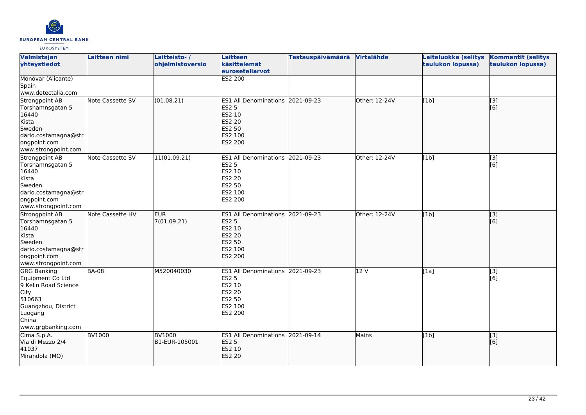

| Valmistajan<br>yhteystiedot                                                                                                                       | Laitteen nimi    | Laitteisto-/<br>ohjelmistoversio | <b>Laitteen</b><br>käsittelemät<br>euroseteliarvot                                                                        | <b>Testauspäivämäärä</b> | Virtalähde    | Laiteluokka (selitys<br>taulukon lopussa) | <b>Kommentit (selitys</b><br>taulukon lopussa) |
|---------------------------------------------------------------------------------------------------------------------------------------------------|------------------|----------------------------------|---------------------------------------------------------------------------------------------------------------------------|--------------------------|---------------|-------------------------------------------|------------------------------------------------|
| Monóvar (Alicante)<br>Spain<br>www.detectalia.com                                                                                                 |                  |                                  | <b>ES2 200</b>                                                                                                            |                          |               |                                           |                                                |
| Strongpoint AB<br>Torshamnsgatan 5<br>16440<br>Kista<br><b>Sweden</b><br>dario.costamagna@str<br>ongpoint.com<br>www.strongpoint.com              | Note Cassette SV | (01.08.21)                       | ES1 All Denominations 2021-09-23<br><b>ES2 5</b><br>ES2 10<br><b>ES2 20</b><br><b>ES2 50</b><br>ES2 100<br>ES2 200        |                          | Other: 12-24V | [1b]                                      | $\overline{[3]}$<br>[6]                        |
| Strongpoint AB<br>Torshamnsgatan 5<br>16440<br>Kista<br>Sweden<br>dario.costamagna@str<br>ongpoint.com<br>www.strongpoint.com                     | Note Cassette SV | 11(01.09.21)                     | <b>ES1 All Denominations</b><br><b>ES2 5</b><br>ES2 10<br><b>ES2 20</b><br><b>ES2 50</b><br>ES2 100<br>ES2 200            | 2021-09-23               | Other: 12-24V | [1b]                                      | $\overline{[}3]$<br>[6]                        |
| Strongpoint AB<br>Torshamnsgatan 5<br>16440<br>Kista<br>Sweden<br>dario.costamagna@str<br>ongpoint.com<br>www.strongpoint.com                     | Note Cassette HV | <b>EUR</b><br>7(01.09.21)        | ES1 All Denominations 2021-09-23<br><b>ES2 5</b><br>ES2 10<br><b>ES2 20</b><br>ES2 50<br>ES2 100<br><b>ES2 200</b>        |                          | Other: 12-24V | [1b]                                      | $\overline{[}3]$<br>[6]                        |
| <b>GRG Banking</b><br>Equipment Co Ltd<br>9 Kelin Road Science<br>City<br>510663<br>Guangzhou, District<br>Luogang<br>China<br>www.grgbanking.com | <b>BA-08</b>     | M520040030                       | ES1 All Denominations 2021-09-23<br><b>ES2 5</b><br>ES2 10<br><b>ES2 20</b><br><b>ES2 50</b><br>ES2 100<br><b>ES2 200</b> |                          | 12 V          | [1a]                                      | [3]<br>[6]                                     |
| Cima S.p.A.<br>Via di Mezzo 2/4<br>41037<br>Mirandola (MO)                                                                                        | <b>BV1000</b>    | <b>BV1000</b><br>B1-EUR-105001   | ES1 All Denominations 2021-09-14<br><b>ES2 5</b><br>ES2 10<br><b>ES2 20</b>                                               |                          | Mains         | [1b]                                      | [3]<br>[6]                                     |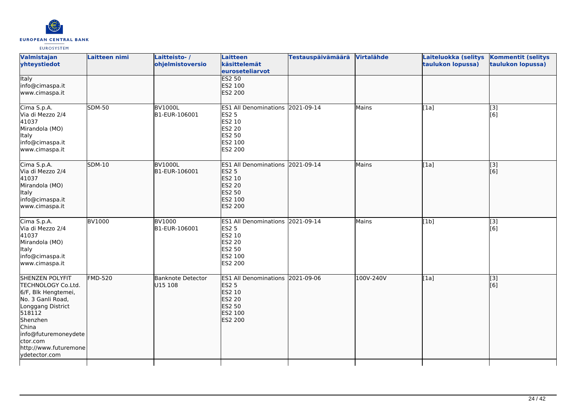

| Valmistajan<br>yhteystiedot                                                                                                                                                                                                | Laitteen nimi  | Laitteisto-/<br>ohjelmistoversio    | <b>Laitteen</b><br>käsittelemät<br>euroseteliarvot                                                          | <b>Testauspäivämäärä</b> | Virtalähde   | Laiteluokka (selitys<br>taulukon lopussa) | <b>Kommentit (selitys</b><br>taulukon lopussa) |
|----------------------------------------------------------------------------------------------------------------------------------------------------------------------------------------------------------------------------|----------------|-------------------------------------|-------------------------------------------------------------------------------------------------------------|--------------------------|--------------|-------------------------------------------|------------------------------------------------|
| <b>Italy</b><br>info@cimaspa.it<br>www.cimaspa.it                                                                                                                                                                          |                |                                     | <b>ES2 50</b><br>ES2 100<br>ES2 200                                                                         |                          |              |                                           |                                                |
| Cima S.p.A.<br>Via di Mezzo 2/4<br>41037<br>Mirandola (MO)<br>Italy<br>info@cimaspa.it<br>www.cimaspa.it                                                                                                                   | <b>SDM-50</b>  | <b>BV1000L</b><br>B1-EUR-106001     | ES1 All Denominations 2021-09-14<br>ES2 5<br>ES2 10<br>ES2 20<br>ES2 50<br>ES2 100<br>ES2 200               |                          | Mains        | $\overline{[1a]}$                         | [3]<br>[6]                                     |
| Cima S.p.A.<br>Via di Mezzo 2/4<br>41037<br>Mirandola (MO)<br><b>Italy</b><br>info@cimaspa.it<br>www.cimaspa.it                                                                                                            | <b>SDM-10</b>  | <b>BV1000L</b><br>B1-EUR-106001     | ES1 All Denominations 2021-09-14<br><b>ES2 5</b><br>ES2 10<br><b>ES2 20</b><br>ES2 50<br>ES2 100<br>ES2 200 |                          | Mains        | [1a]                                      | [3]<br>[6]                                     |
| Cima S.p.A.<br>Via di Mezzo 2/4<br>41037<br>Mirandola (MO)<br>Italy<br>info@cimaspa.it<br>www.cimaspa.it                                                                                                                   | <b>BV1000</b>  | BV1000<br>B1-EUR-106001             | ES1 All Denominations 2021-09-14<br>ES2 5<br>ES2 10<br><b>ES2 20</b><br>ES2 50<br>ES2 100<br>ES2 200        |                          | <b>Mains</b> | [1b]                                      | [3]<br>[6]                                     |
| <b>SHENZEN POLYFIT</b><br>TECHNOLOGY Co.Ltd.<br>6/F, Blk Hengtemei,<br>No. 3 Ganli Road,<br>Longgang District<br>518112<br>Shenzhen<br>China<br>info@futuremoneydete<br>ctor.com<br>http://www.futuremone<br>ydetector.com | <b>FMD-520</b> | <b>Banknote Detector</b><br>U15 108 | ES1 All Denominations 2021-09-06<br><b>ES2 5</b><br>ES2 10<br><b>ES2 20</b><br>ES2 50<br>ES2 100<br>ES2 200 |                          | 100V-240V    | [1a]                                      | [3]<br>[6]                                     |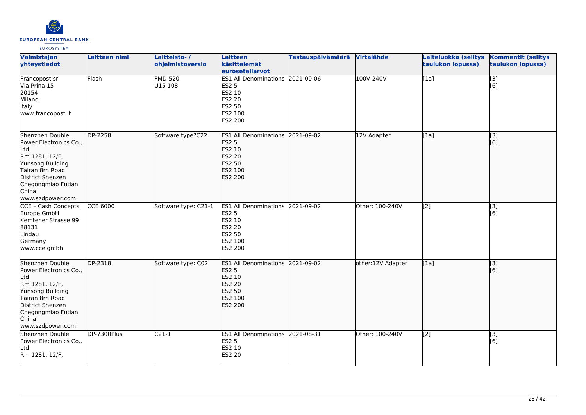

| Valmistajan<br>yhteystiedot                                                                                                                                                      | <b>Laitteen nimi</b> | Laitteisto-/<br>ohjelmistoversio | Laitteen<br>käsittelemät<br>euroseteliarvot                                                                           | Testauspäivämäärä | Virtalähde        | Laiteluokka (selitys<br>taulukon lopussa) | <b>Kommentit (selitys</b><br>taulukon lopussa) |
|----------------------------------------------------------------------------------------------------------------------------------------------------------------------------------|----------------------|----------------------------------|-----------------------------------------------------------------------------------------------------------------------|-------------------|-------------------|-------------------------------------------|------------------------------------------------|
| Francopost srl<br>Via Prina 15<br>20154<br>Milano<br>Italy<br>www.francopost.it                                                                                                  | Flash                | <b>FMD-520</b><br>U15 108        | ES1 All Denominations 2021-09-06<br><b>ES2 5</b><br>ES2 10<br><b>ES2 20</b><br>ES2 50<br>ES2 100<br>ES2 200           |                   | 100V-240V         | [1a]                                      | $\overline{[}3]$<br>[6]                        |
| Shenzhen Double<br>Power Electronics Co.,<br>Ltd<br>Rm 1281, 12/F,<br>Yunsong Building<br>Tairan 8rh Road<br>District Shenzen<br>Chegongmiao Futian<br>China<br>www.szdpower.com | DP-2258              | Software type?C22                | ES1 All Denominations 2021-09-02<br><b>ES2 5</b><br>ES2 10<br><b>ES2 20</b><br>ES2 50<br>ES2 100<br>ES2 200           |                   | 12V Adapter       | [1a]                                      | [3]<br>[6]                                     |
| CCE - Cash Concepts<br>Europe GmbH<br>Kemtener Strasse 99<br>88131<br>Lindau<br>Germany<br>www.cce.gmbh                                                                          | <b>CCE 6000</b>      | Software type: C21-1             | ES1 All Denominations 2021-09-02<br><b>ES2 5</b><br>ES2 10<br><b>ES2 20</b><br>ES2 50<br>ES2 100<br>ES2 200           |                   | Other: 100-240V   | [2]                                       | [3]<br>[6]                                     |
| Shenzhen Double<br>Power Electronics Co.,<br>Ltd<br>Rm 1281, 12/F,<br>Yunsong Building<br>Tairan 8rh Road<br>District Shenzen<br>Chegongmiao Futian<br>China<br>www.szdpower.com | <b>DP-2318</b>       | Software type: C02               | <b>ES1 All Denominations</b><br><b>ES2 5</b><br>ES2 10<br><b>ES2 20</b><br><b>ES2 50</b><br>ES2 100<br><b>ES2 200</b> | 2021-09-02        | other:12V Adapter | [1a]                                      | [[3]<br>[6]                                    |
| Shenzhen Double<br>Power Electronics Co.,<br>Ltd<br>Rm 1281, 12/F,                                                                                                               | DP-7300Plus          | $C21-1$                          | ES1 All Denominations 2021-08-31<br><b>ES2 5</b><br>ES2 10<br><b>ES2 20</b>                                           |                   | Other: 100-240V   | [2]                                       | [3]<br>[6]                                     |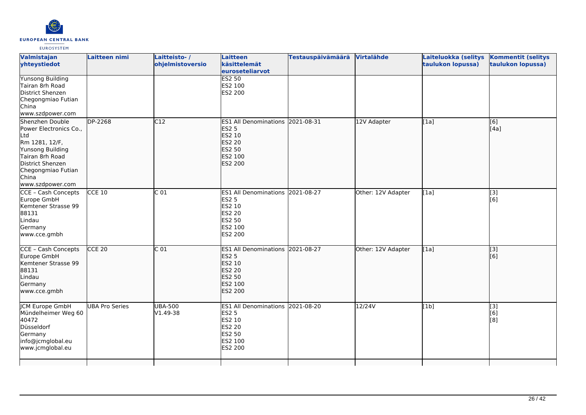

| Valmistajan<br>yhteystiedot                                                                                                                                                      | Laitteen nimi         | Laitteisto-/<br>ohjelmistoversio | Laitteen<br>käsittelemät<br>euroseteliarvot                                                                        | <b>Testauspäivämäärä</b> | Virtalähde         | Laiteluokka (selitys<br>taulukon lopussa) | <b>Kommentit (selitys</b><br>taulukon lopussa) |
|----------------------------------------------------------------------------------------------------------------------------------------------------------------------------------|-----------------------|----------------------------------|--------------------------------------------------------------------------------------------------------------------|--------------------------|--------------------|-------------------------------------------|------------------------------------------------|
| <b>Yunsong Building</b><br>Tairan 8rh Road<br>District Shenzen<br>Chegongmiao Futian<br>China<br>www.szdpower.com                                                                |                       |                                  | <b>ES2 50</b><br>ES2 100<br>ES2 200                                                                                |                          |                    |                                           |                                                |
| Shenzhen Double<br>Power Electronics Co.,<br>Ltd<br>Rm 1281, 12/F,<br>Yunsong Building<br>Tairan 8rh Road<br>District Shenzen<br>Chegongmiao Futian<br>China<br>www.szdpower.com | DP-2268               | C12                              | <b>ES1 All Denominations</b><br><b>ES2 5</b><br>ES2 10<br><b>ES2 20</b><br>ES2 50<br>ES2 100<br>ES2 200            | 2021-08-31               | 12V Adapter        | [1a]                                      | [[6]<br>[[4a]                                  |
| CCE - Cash Concepts<br>Europe GmbH<br>Kemtener Strasse 99<br>88131<br>Lindau<br>Germany<br>www.cce.gmbh                                                                          | $CCE$ 10              | C <sub>01</sub>                  | ES1 All Denominations 2021-08-27<br><b>ES2 5</b><br>ES2 10<br><b>ES2 20</b><br>ES2 50<br>ES2 100<br>ES2 200        |                          | Other: 12V Adapter | [1a]                                      | $\overline{[3]}$<br>[6]                        |
| CCE - Cash Concepts<br>Europe GmbH<br>Kemtener Strasse 99<br>88131<br>Lindau<br>Germany<br>www.cce.gmbh                                                                          | $CCE$ 20              | C <sub>01</sub>                  | ES1 All Denominations 2021-08-27<br><b>ES2 5</b><br>ES2 10<br><b>ES2 20</b><br>ES2 50<br>ES2 100<br><b>ES2 200</b> |                          | Other: 12V Adapter | [1a]                                      | $\overline{[}3]$<br>[6]                        |
| JCM Europe GmbH<br>Mündelheimer Weg 60<br>40472<br>Düsseldorf<br>Germany<br>info@jcmglobal.eu<br>www.jcmglobal.eu                                                                | <b>UBA Pro Series</b> | <b>UBA-500</b><br>$V1.49-38$     | <b>ES1 All Denominations</b><br><b>ES2 5</b><br>ES2 10<br><b>ES2 20</b><br>ES2 50<br>ES2 100<br>ES2 200            | 2021-08-20               | 12/24V             | [1b]                                      | [3]<br>[6]<br>[8]                              |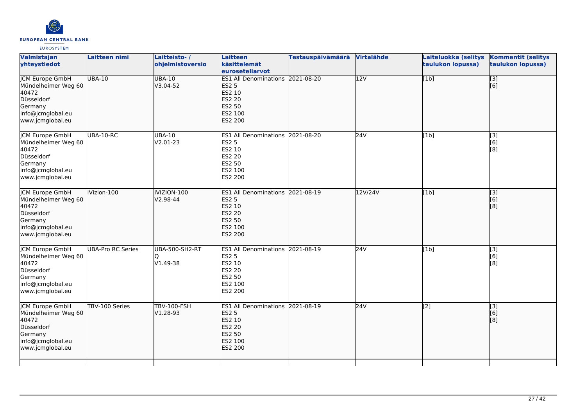

| Valmistajan<br>yhteystiedot                                                                                              | Laitteen nimi            | Laitteisto-/<br>ohjelmistoversio      | Laitteen<br>käsittelemät<br>euroseteliarvot                                                                               | <b>Testauspäivämäärä</b> | Virtalähde       | Laiteluokka (selitys<br>taulukon lopussa) | <b>Kommentit (selitys</b><br>taulukon lopussa)                                                                  |
|--------------------------------------------------------------------------------------------------------------------------|--------------------------|---------------------------------------|---------------------------------------------------------------------------------------------------------------------------|--------------------------|------------------|-------------------------------------------|-----------------------------------------------------------------------------------------------------------------|
| <b>JCM Europe GmbH</b><br>Mündelheimer Weg 60<br>40472<br>Düsseldorf<br>Germany<br>info@jcmglobal.eu<br>www.jcmglobal.eu | <b>UBA-10</b>            | <b>UBA-10</b><br>V3.04-52             | ES1 All Denominations 2021-08-20<br><b>ES2 5</b><br>ES2 10<br><b>ES2 20</b><br>ES2 50<br>ES2 100<br><b>ES2 200</b>        |                          | $\overline{12V}$ | [1b]                                      | $\overline{[}3]$<br>[6]                                                                                         |
| <b>JCM Europe GmbH</b><br>Mündelheimer Weg 60<br>40472<br>Düsseldorf<br>Germany<br>info@jcmglobal.eu<br>www.jcmglobal.eu | UBA-10-RC                | <b>UBA-10</b><br>V <sub>2.01-23</sub> | ES1 All Denominations 2021-08-20<br><b>ES2 5</b><br>ES2 10<br>ES2 20<br><b>ES2 50</b><br>ES2 100<br>ES2 200               |                          | 24V              | [1b]                                      | $\begin{array}{c} \hline \left[ 3 \right] \ \hline \left[ 6 \right] \end{array}$<br>$\overline{[}8\overline{]}$ |
| <b>ICM Europe GmbH</b><br>Mündelheimer Weg 60<br>40472<br>Düsseldorf<br>Germany<br>info@jcmglobal.eu<br>www.jcmglobal.eu | iVizion-100              | iVIZION-100<br>V2.98-44               | ES1 All Denominations 2021-08-19<br><b>ES2 5</b><br>ES2 10<br>ES2 20<br>ES2 50<br>ES2 100<br><b>ES2 200</b>               |                          | 12V/24V          | [1b]                                      | $\begin{bmatrix} 3 \\ 6 \end{bmatrix}$<br>[8]                                                                   |
| <b>JCM Europe GmbH</b><br>Mündelheimer Weg 60<br>40472<br>Düsseldorf<br>Germany<br>info@jcmglobal.eu<br>www.jcmglobal.eu | <b>UBA-Pro RC Series</b> | <b>UBA-500-SH2-RT</b><br>V1.49-38     | ES1 All Denominations 2021-08-19<br>ES2 5<br>ES2 10<br>ES2 20<br>ES2 50<br>ES2 100<br>ES2 200                             |                          | 24V              | [1b]                                      | $\overline{[3]}$<br>[6]<br>[8]                                                                                  |
| <b>JCM Europe GmbH</b><br>Mündelheimer Weg 60<br>40472<br>Düsseldorf<br>Germany<br>info@jcmglobal.eu<br>www.jcmglobal.eu | TBV-100 Series           | <b>TBV-100-FSH</b><br>V1.28-93        | ES1 All Denominations 2021-08-19<br><b>ES2 5</b><br><b>ES2 10</b><br><b>ES2 20</b><br>ES2 50<br>ES2 100<br><b>ES2 200</b> |                          | 24V              | $\overline{[2]}$                          | $\vert$ [3]<br>[6]<br>[8]                                                                                       |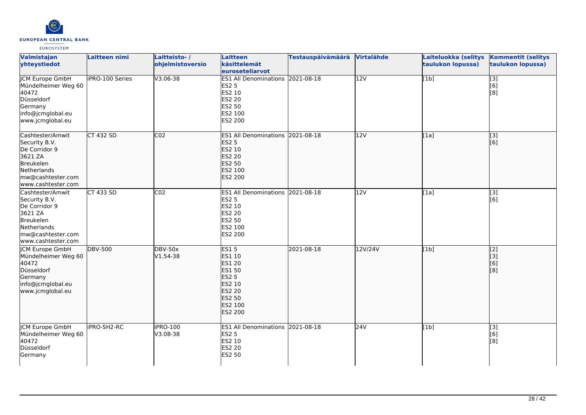

| Valmistajan<br>yhteystiedot                                                                                                          | Laitteen nimi          | Laitteisto-/<br>ohjelmistoversio | Laitteen<br>käsittelemät<br>euroseteliarvot                                                                                 | <b>Testauspäivämäärä</b> | Virtalähde       | Laiteluokka (selitys<br>taulukon lopussa) | <b>Kommentit (selitys</b><br>taulukon lopussa)                                      |
|--------------------------------------------------------------------------------------------------------------------------------------|------------------------|----------------------------------|-----------------------------------------------------------------------------------------------------------------------------|--------------------------|------------------|-------------------------------------------|-------------------------------------------------------------------------------------|
| <b>ICM Europe GmbH</b><br>Mündelheimer Weg 60<br>40472<br>Düsseldorf<br>Germany<br>info@jcmglobal.eu<br>www.jcmglobal.eu             | <b>iPRO-100 Series</b> | $V3.06 - 38$                     | ES1 All Denominations 2021-08-18<br><b>ES2 5</b><br>ES2 10<br><b>ES2 20</b><br>ES2 50<br>ES2 100<br>ES2 200                 |                          | $\overline{12V}$ | $\overline{[1b]}$                         | $\overline{[}3]$<br>[6]<br>$\left[ \begin{matrix} 8 \end{matrix} \right]$           |
| Cashtester/Amwit<br>Security B.V.<br>De Corridor 9<br>3621 ZA<br>Breukelen<br>Netherlands<br>mw@cashtester.com<br>www.cashtester.com | <b>CT 432 SD</b>       | CO <sub>2</sub>                  | ES1 All Denominations 2021-08-18<br><b>ES2 5</b><br>ES2 10<br><b>ES2 20</b><br>ES2 50<br>ES2 100<br>ES2 200                 |                          | 12V              | [1a]                                      | $\overline{[}3]$<br>[6]                                                             |
| Cashtester/Amwit<br>Security B.V.<br>De Corridor 9<br>3621 ZA<br>Breukelen<br>Netherlands<br>mw@cashtester.com<br>www.cashtester.com | CT 433 SD              | CO <sub>2</sub>                  | ES1 All Denominations 2021-08-18<br><b>ES2 5</b><br>ES2 10<br><b>ES2 20</b><br>ES2 50<br>ES2 100<br>ES2 200                 |                          | 12V              | [1a]                                      | [3]<br>[6]                                                                          |
| JCM Europe GmbH<br>Mündelheimer Weg 60<br>40472<br>Düsseldorf<br>Germany<br>info@jcmglobal.eu<br>www.jcmglobal.eu                    | <b>DBV-500</b>         | <b>DBV-50x</b><br>$V1.54-38$     | <b>ES15</b><br>ES1 10<br><b>ES1 20</b><br>ES1 50<br><b>ES2 5</b><br>ES2 10<br>ES2 20<br>ES2 50<br>ES2 100<br><b>ES2 200</b> | 2021-08-18               | 12V/24V          | [1b]                                      | $\sqrt{2}$<br>$\begin{bmatrix} 3 \\ 6 \end{bmatrix}$<br>$\overline{[}8\overline{]}$ |
| <b>JCM Europe GmbH</b><br>Mündelheimer Weg 60<br>40472<br>Düsseldorf<br>Germany                                                      | <b>IPRO-SH2-RC</b>     | iPRO-100<br>V3.08-38             | ES1 All Denominations 2021-08-18<br><b>ES2 5</b><br>ES2 10<br>ES2 20<br>ES2 50                                              |                          | 24V              | [1b]                                      | $\overline{[}3]$<br>[6]<br>[8]                                                      |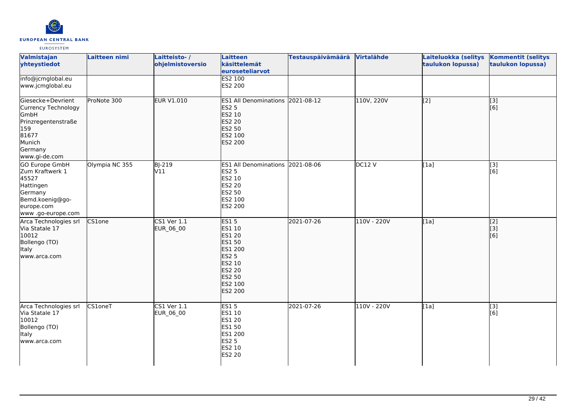

| Valmistajan<br>yhteystiedot                                                                                                   | Laitteen nimi  | Laitteisto-/<br>ohjelmistoversio | <b>Laitteen</b><br>käsittelemät<br>euroseteliarvot                                                                              | <b>Testauspäivämäärä</b> | <b>Virtalähde</b> | Laiteluokka (selitys<br>taulukon lopussa) | <b>Kommentit (selitys</b><br>taulukon lopussa) |
|-------------------------------------------------------------------------------------------------------------------------------|----------------|----------------------------------|---------------------------------------------------------------------------------------------------------------------------------|--------------------------|-------------------|-------------------------------------------|------------------------------------------------|
| info@jcmglobal.eu<br>www.jcmglobal.eu                                                                                         |                |                                  | <b>ES2 100</b><br>ES2 200                                                                                                       |                          |                   |                                           |                                                |
| Giesecke+Devrient<br>Currency Technology<br>GmbH<br>Prinzregentenstraße<br>159<br>81677<br>Munich<br>Germany<br>www.gi-de.com | ProNote 300    | <b>EUR V1.010</b>                | ES1 All Denominations 2021-08-12<br><b>ES2 5</b><br>ES2 10<br><b>ES2 20</b><br>ES2 50<br>ES2 100<br>ES2 200                     |                          | 110V, 220V        | $\overline{[2]}$                          | $\overline{[}3]$<br>[6]                        |
| GO Europe GmbH<br>Zum Kraftwerk 1<br>45527<br>Hattingen<br>Germany<br>Bemd.koenig@go-<br>europe.com<br>www .go-europe.com     | Olympia NC 355 | BJ-219<br>V11                    | ES1 All Denominations 2021-08-06<br><b>ES2 5</b><br>ES2 10<br><b>ES2 20</b><br>ES2 50<br>ES2 100<br>ES2 200                     |                          | DC12 V            | [1a]                                      | $[3]$<br>[6]                                   |
| Arca Technologies srl<br>Via Statale 17<br>10012<br>Bollengo (TO)<br>Italy<br>www.arca.com                                    | <b>CS1one</b>  | CS1 Ver 1.1<br>EUR_06_00         | <b>ES15</b><br>ES1 10<br>ES1 20<br>ES1 50<br>ES1 200<br><b>ES2 5</b><br>ES2 10<br><b>ES2 20</b><br>ES2 50<br>ES2 100<br>ES2 200 | 2021-07-26               | 110V - 220V       | [1a]                                      | $\begin{bmatrix} 2 \\ 3 \end{bmatrix}$<br>[6]  |
| Arca Technologies srl<br>Via Statale 17<br>10012<br>Bollengo (TO)<br>Italy<br>www.arca.com                                    | CS1oneT        | $CS1$ Ver $1.1$<br>EUR_06_00     | <b>ES15</b><br>ES1 10<br>ES1 20<br>ES1 50<br>ES1 200<br><b>ES2 5</b><br>ES2 10<br><b>ES2 20</b>                                 | 2021-07-26               | 110V - 220V       | [1a]                                      | $[3]$<br>[6]                                   |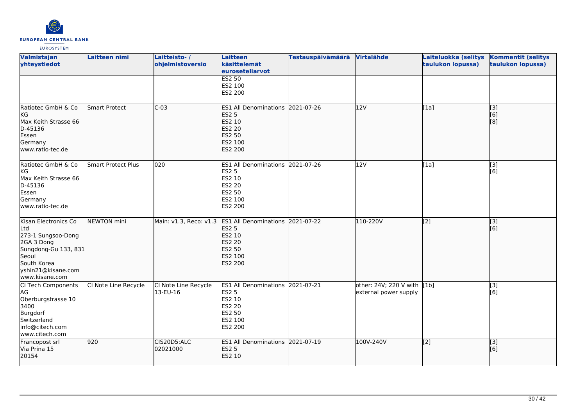

| Valmistajan<br>yhteystiedot                                                                                                                             | Laitteen nimi             | Laitteisto-/<br>ohjelmistoversio | <b>Laitteen</b><br>käsittelemät<br>euroseteliarvot                                                                    | <b>Testauspäivämäärä</b> | Virtalähde                                           | Laiteluokka (selitys<br>taulukon lopussa) | <b>Kommentit (selitys</b><br>taulukon lopussa) |
|---------------------------------------------------------------------------------------------------------------------------------------------------------|---------------------------|----------------------------------|-----------------------------------------------------------------------------------------------------------------------|--------------------------|------------------------------------------------------|-------------------------------------------|------------------------------------------------|
|                                                                                                                                                         |                           |                                  | <b>ES2 50</b><br>ES2 100<br>ES2 200                                                                                   |                          |                                                      |                                           |                                                |
| Ratiotec GmbH & Co<br><b>KG</b><br>Max Keith Strasse 66<br>D-45136<br>Essen<br>Germany<br>www.ratio-tec.de                                              | <b>Smart Protect</b>      | $C-03$                           | <b>ES1 All Denominations</b><br><b>ES2 5</b><br>ES2 10<br>ES2 20<br>ES2 50<br>ES2 100<br>ES2 200                      | 2021-07-26               | 12V                                                  | [1a]                                      | $\overline{[}3]$<br>[6]<br>[8]                 |
| Ratiotec GmbH & Co<br>kG<br>Max Keith Strasse 66<br>D-45136<br>Essen<br>Germany<br>www.ratio-tec.de                                                     | <b>Smart Protect Plus</b> | 020                              | <b>ES1 All Denominations</b><br><b>ES2 5</b><br>ES2 10<br>ES2 20<br>ES2 50<br>ES2 100<br>ES2 200                      | 2021-07-26               | 12V                                                  | [1a]                                      | [3]<br>[6]                                     |
| Kisan Electronics Co<br>Ltd<br>273-1 Sungsoo-Dong<br>2GA 3 Dong<br>Sungdong-Gu 133, 831<br>Seoul<br>South Korea<br>yshin21@kisane.com<br>www.kisane.com | <b>NEWTON</b> mini        | Main: v1.3, Reco: v1.3           | <b>ES1 All Denominations</b><br><b>ES2 5</b><br>ES2 10<br><b>ES2 20</b><br><b>ES2 50</b><br>ES2 100<br><b>ES2 200</b> | 2021-07-22               | 110-220V                                             | $\overline{[2]}$                          | [3]<br>[6]                                     |
| CI Tech Components<br>AG<br>Oberburgstrasse 10<br>3400<br>Burgdorf<br>Switzerland<br>info@citech.com<br>www.citech.com                                  | CI Note Line Recycle      | CI Note Line Recycle<br>13-EU-16 | ES1 All Denominations 2021-07-21<br><b>ES2 5</b><br>ES2 10<br>ES2 20<br>ES2 50<br>ES2 100<br>ES2 200                  |                          | other: 24V; 220 V with [1b]<br>external power supply |                                           | [3]<br>[6]                                     |
| Francopost srl<br>Via Prina 15<br>20154                                                                                                                 | 920                       | CIS20D5:ALC<br>02021000          | <b>ES1 All Denominations</b><br><b>ES2 5</b><br>ES2 10                                                                | 2021-07-19               | 100V-240V                                            | [2]                                       | [3]<br>[6]                                     |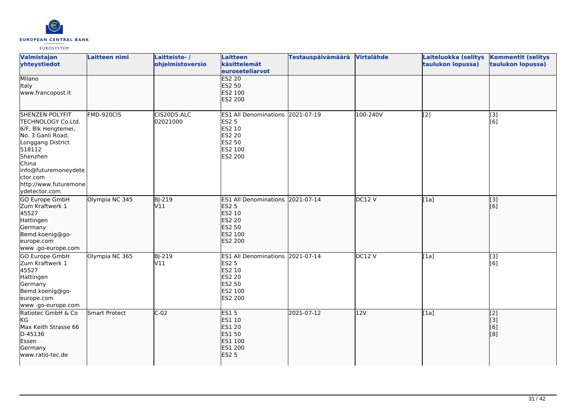

| Valmistajan<br>yhteystiedot                                                                                                                                                                                                | Laitteen nimi  | Laitteisto-/<br>ohjelmistoversio | <b>Laitteen</b><br>käsittelemät<br>euroseteliarvot                                                                        | <b>Testauspäivämäärä</b> | Virtalähde | Laiteluokka (selitys<br>taulukon lopussa) | <b>Kommentit (selitys</b><br>taulukon lopussa) |
|----------------------------------------------------------------------------------------------------------------------------------------------------------------------------------------------------------------------------|----------------|----------------------------------|---------------------------------------------------------------------------------------------------------------------------|--------------------------|------------|-------------------------------------------|------------------------------------------------|
| Milano<br>Italy<br>www.francopost.it                                                                                                                                                                                       |                |                                  | <b>ES2 20</b><br><b>ES2 50</b><br>ES2 100<br><b>ES2 200</b>                                                               |                          |            |                                           |                                                |
| <b>SHENZEN POLYFIT</b><br>TECHNOLOGY Co.Ltd.<br>6/F, Blk Hengtemei,<br>No. 3 Ganli Road,<br>Longgang District<br>518112<br>Shenzhen<br>China<br>info@futuremoneydete<br>ctor.com<br>http://www.futuremone<br>ydetector.com | FMD-920CIS     | CIS20D5:ALC<br>02021000          | <b>ES1 All Denominations 2021-07-19</b><br><b>ES2 5</b><br>ES2 10<br><b>ES2 20</b><br><b>ES2 50</b><br>ES2 100<br>ES2 200 |                          | 100-240V   | [2]                                       | [3]<br>[6]                                     |
| <b>GO Europe GmbH</b><br>Zum Kraftwerk 1<br>45527<br>Hattingen<br>Germany<br>Bemd.koenig@go-<br>europe.com<br>www.go-europe.com                                                                                            | Olympia NC 345 | <b>BJ-219</b><br>V11             | <b>ES1 All Denominations</b><br><b>ES2 5</b><br>ES2 10<br><b>ES2 20</b><br><b>ES2 50</b><br>ES2 100<br><b>ES2 200</b>     | 2021-07-14               | DC12 V     | [1a]                                      | $\overline{[}$ [3]<br>[6]                      |
| GO Europe GmbH<br>Zum Kraftwerk 1<br>45527<br>Hattingen<br>Germany<br>Bemd.koenig@go-<br>europe.com<br>www.go-europe.com                                                                                                   | Olympia NC 365 | <b>BJ-219</b><br>V11             | ES1 All Denominations 2021-07-14<br><b>ES2 5</b><br><b>ES2 10</b><br><b>ES2 20</b><br><b>ES2 50</b><br>ES2 100<br>ES2 200 |                          | DC12V      | [1a]                                      | $\overline{[}3]$<br>[6]                        |
| Ratiotec GmbH & Co<br>KG<br>Max Keith Strasse 66<br>D-45136<br>Essen<br>Germany<br>www.ratio-tec.de                                                                                                                        | Smart Protect  | $C-02$                           | <b>ES15</b><br>ES1 10<br><b>ES1 20</b><br>ES1 50<br>ES1 100<br>ES1 200<br><b>ES2 5</b>                                    | 2021-07-12               | 12V        | [1a]                                      | [2]<br>[[3]<br>[6]<br>[8]                      |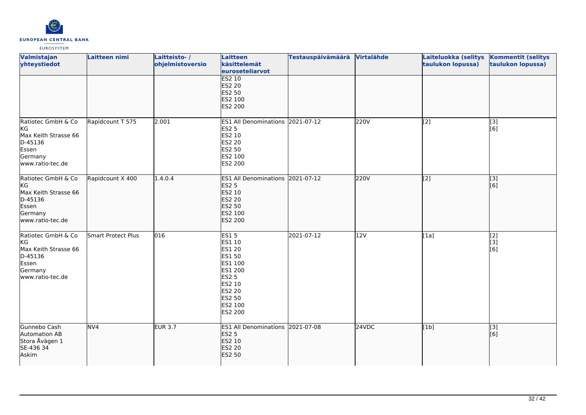

| Valmistajan<br>yhteystiedot                                                                         | Laitteen nimi      | Laitteisto-/<br>ohjelmistoversio | <b>Laitteen</b><br>käsittelemät<br>euroseteliarvot                                                                                  | <b>Testauspäivämäärä</b> | Virtalähde | Laiteluokka (selitys<br>taulukon lopussa) | <b>Kommentit (selitys</b><br>taulukon lopussa) |
|-----------------------------------------------------------------------------------------------------|--------------------|----------------------------------|-------------------------------------------------------------------------------------------------------------------------------------|--------------------------|------------|-------------------------------------------|------------------------------------------------|
|                                                                                                     |                    |                                  | <b>ES2 10</b><br>ES2 20<br><b>ES2 50</b><br>ES2 100<br>ES2 200                                                                      |                          |            |                                           |                                                |
| Ratiotec GmbH & Co<br>KG<br>Max Keith Strasse 66<br>D-45136<br>Essen<br>Germany<br>www.ratio-tec.de | Rapidcount T 575   | 2.001                            | ES1 All Denominations 2021-07-12<br><b>ES2 5</b><br>ES2 10<br>ES2 20<br>ES2 50<br>ES2 100<br>ES2 200                                |                          | 220V       | [2]                                       | [3]<br>[6]                                     |
| Ratiotec GmbH & Co<br>kG<br>Max Keith Strasse 66<br>D-45136<br>Essen<br>Germany<br>www.ratio-tec.de | Rapidcount X 400   | 1.4.0.4                          | ES1 All Denominations 2021-07-12<br><b>ES2 5</b><br>ES2 10<br>ES2 20<br>ES2 50<br>ES2 100<br>ES2 200                                |                          | 220V       | $\sqrt{2}$                                | $\overline{[}3]$<br>[6]                        |
| Ratiotec GmbH & Co<br>KG<br>Max Keith Strasse 66<br>D-45136<br>Essen<br>Germany<br>www.ratio-tec.de | Smart Protect Plus | 016                              | <b>ES15</b><br>ES1 10<br>ES1 20<br>ES1 50<br>ES1 100<br>ES1 200<br><b>ES2 5</b><br>ES2 10<br>ES2 20<br>ES2 50<br>ES2 100<br>ES2 200 | 2021-07-12               | 12V        | [1a]                                      | $\overline{[2]}$<br>[3]<br>[6]                 |
| Gunnebo Cash<br>Automation AB<br>Stora Åvägen 1<br>SE-436 34<br>Askim                               | NV4                | <b>EUR 3.7</b>                   | <b>ES1 All Denominations</b><br><b>ES2 5</b><br>ES2 10<br>ES2 20<br><b>ES2 50</b>                                                   | 2021-07-08               | 24VDC      | [1b]                                      | $\overline{[}$ [3]<br>[6]                      |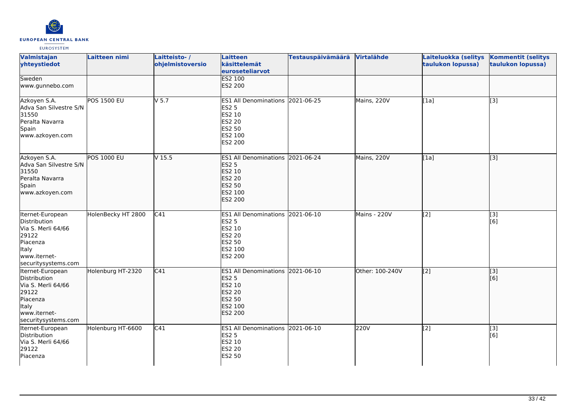

| Valmistajan<br>yhteystiedot                                                                                                        | Laitteen nimi      | Laitteisto-/<br>ohjelmistoversio | Laitteen<br>käsittelemät<br>euroseteliarvot                                                                        | <b>Testauspäivämäärä</b> | Virtalähde      | Laiteluokka (selitys<br>taulukon lopussa) | <b>Kommentit (selitys</b><br>taulukon lopussa) |
|------------------------------------------------------------------------------------------------------------------------------------|--------------------|----------------------------------|--------------------------------------------------------------------------------------------------------------------|--------------------------|-----------------|-------------------------------------------|------------------------------------------------|
| Sweden<br>www.gunnebo.com                                                                                                          |                    |                                  | <b>ES2 100</b><br>ES2 200                                                                                          |                          |                 |                                           |                                                |
| Azkoyen S.A.<br>Adva San Silvestre S/N<br>31550<br>Peralta Navarra<br>Spain<br>www.azkoyen.com                                     | <b>POS 1500 EU</b> | $V$ 5.7                          | ES1 All Denominations 2021-06-25<br><b>ES2 5</b><br>ES2 10<br><b>ES2 20</b><br><b>ES2 50</b><br>ES2 100<br>ES2 200 |                          | Mains, 220V     | [1a]                                      | [3]                                            |
| Azkoyen S.A.<br>Adva San Silvestre S/N<br>31550<br>Peralta Navarra<br>Spain<br>www.azkoyen.com                                     | <b>POS 1000 EU</b> | V <sub>15.5</sub>                | ES1 All Denominations 2021-06-24<br><b>ES2 5</b><br>ES2 10<br>ES2 20<br><b>ES2 50</b><br>ES2 100<br><b>ES2 200</b> |                          | Mains, 220V     | [1a]                                      | $\overline{[3]}$                               |
| Iternet-European<br>Distribution<br>Via S. Merli 64/66<br>29122<br>Piacenza<br><b>Italy</b><br>www.iternet-<br>securitysystems.com | HolenBecky HT 2800 | $\overline{C41}$                 | ES1 All Denominations 2021-06-10<br><b>ES2 5</b><br>ES2 10<br><b>ES2 20</b><br><b>ES2 50</b><br>ES2 100<br>ES2 200 |                          | Mains - 220V    | [2]                                       | [3]<br>[6]                                     |
| Iternet-European<br>Distribution<br>Via S. Merli 64/66<br>29122<br>Piacenza<br>Italy<br>www.iternet-<br>securitysystems.com        | Holenburg HT-2320  | C41                              | <b>ES1 All Denominations</b><br><b>ES2 5</b><br>ES2 10<br>ES2 20<br>ES2 50<br>ES2 100<br><b>ES2 200</b>            | 2021-06-10               | Other: 100-240V | [[2]                                      | [3]<br>[6]                                     |
| Iternet-European<br>Distribution<br>Via S. Merli 64/66<br>29122<br>Piacenza                                                        | Holenburg HT-6600  | C41                              | ES1 All Denominations 2021-06-10<br><b>ES2 5</b><br>ES2 10<br>ES2 20<br>ES2 50                                     |                          | 220V            | [2]                                       | [3]<br>[6]                                     |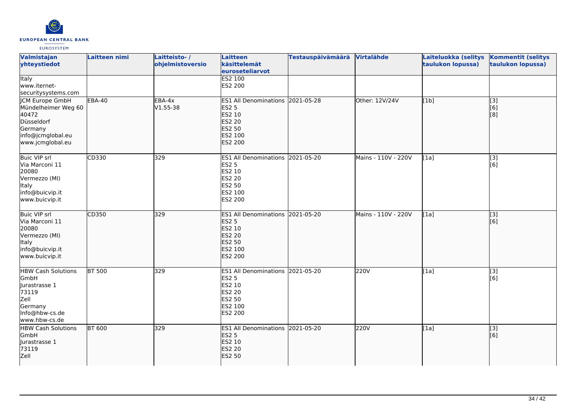

| Valmistajan<br>yhteystiedot                                                                                              | Laitteen nimi | Laitteisto-/<br>ohjelmistoversio | Laitteen<br>käsittelemät<br>euroseteliarvot                                                                        | <b>Testauspäivämäärä</b> | Virtalähde          | Laiteluokka (selitys<br>taulukon lopussa) | <b>Kommentit (selitys</b><br>taulukon lopussa)         |
|--------------------------------------------------------------------------------------------------------------------------|---------------|----------------------------------|--------------------------------------------------------------------------------------------------------------------|--------------------------|---------------------|-------------------------------------------|--------------------------------------------------------|
| <b>Italy</b><br>www.iternet-<br>securitysystems.com                                                                      |               |                                  | <b>ES2 100</b><br>ES2 200                                                                                          |                          |                     |                                           |                                                        |
| <b>JCM Europe GmbH</b><br>Mündelheimer Weg 60<br>40472<br>Düsseldorf<br>Germany<br>info@jcmglobal.eu<br>www.jcmglobal.eu | <b>EBA-40</b> | EBA-4x<br>V1.55-38               | ES1 All Denominations 2021-05-28<br><b>ES2 5</b><br>ES2 10<br><b>ES2 20</b><br><b>ES2 50</b><br>ES2 100<br>ES2 200 |                          | Other: 12V/24V      | [1b]                                      | $\overline{[3]}$<br>$\overline{[}6\overline{)}$<br>[8] |
| <b>Buic VIP srl</b><br>Via Marconi 11<br>20080<br>Vermezzo (MI)<br>Italy<br>info@buicvip.it<br>www.buicvip.it            | CD330         | 329                              | <b>ES1 All Denominations</b><br><b>ES2 5</b><br>ES2 10<br><b>ES2 20</b><br>ES2 50<br>ES2 100<br>ES2 200            | 2021-05-20               | Mains - 110V - 220V | [1a]                                      | [3]<br>[6]                                             |
| <b>Buic VIP srl</b><br>Via Marconi 11<br>20080<br>Vermezzo (MI)<br>Italy<br>info@buicvip.it<br>www.buicvip.it            | CD350         | 329                              | ES1 All Denominations 2021-05-20<br><b>ES2 5</b><br>ES2 10<br><b>ES2 20</b><br>ES2 50<br>ES2 100<br><b>ES2 200</b> |                          | Mains - 110V - 220V | [1a]                                      | $\overline{[3]}$<br>[6]                                |
| <b>HBW Cash Solutions</b><br>GmbH<br>Jurastrasse 1<br>73119<br>Zell<br>Germany<br>Info@hbw-cs.de<br>www.hbw-cs.de        | <b>BT 500</b> | 329                              | <b>ES1 All Denominations</b><br><b>ES2 5</b><br>ES2 10<br>ES2 20<br>ES2 50<br>ES2 100<br>ES2 200                   | 2021-05-20               | 220V                | [1a]                                      | [3]<br>[6]                                             |
| <b>HBW Cash Solutions</b><br>GmbH<br>Jurastrasse 1<br>73119<br>Zell                                                      | <b>BT 600</b> | 329                              | ES1 All Denominations 2021-05-20<br><b>ES2 5</b><br>ES2 10<br><b>ES2 20</b><br><b>ES2 50</b>                       |                          | 220V                | [1a]                                      | $\overline{[}3]$<br>[6]                                |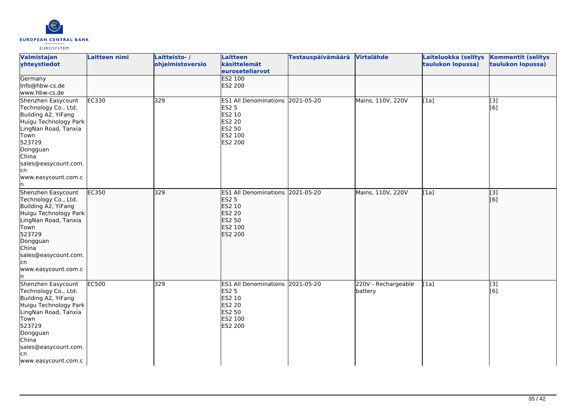

| Valmistajan<br>yhteystiedot                                                                                                                                                                                            | Laitteen nimi | Laitteisto-/<br>ohjelmistoversio | <b>Laitteen</b><br>käsittelemät<br>euroseteliarvot<br><b>ES2 100</b>                                        | <b>Testauspäivämäärä</b> | Virtalähde                     | Laiteluokka (selitys<br>taulukon lopussa) | <b>Kommentit (selitys</b><br>taulukon lopussa) |
|------------------------------------------------------------------------------------------------------------------------------------------------------------------------------------------------------------------------|---------------|----------------------------------|-------------------------------------------------------------------------------------------------------------|--------------------------|--------------------------------|-------------------------------------------|------------------------------------------------|
| Germany<br>Info@hbw-cs.de<br>www.hbw-cs.de                                                                                                                                                                             |               |                                  | ES2 200                                                                                                     |                          |                                |                                           |                                                |
| Shenzhen Easycount<br>Technology Co., Ltd.<br>Building A2, YiFang<br>Huigu Technology Park<br>LingNan Road, Tanxia<br>Town<br>523729<br>Dongguan<br>China<br>sales@easycount.com.<br>cn<br>www.easycount.com.c<br>In.  | EC330         | 329                              | ES1 All Denominations 2021-05-20<br><b>ES2 5</b><br>ES2 10<br><b>ES2 20</b><br>ES2 50<br>ES2 100<br>ES2 200 |                          | Mains, 110V, 220V              | [1a]                                      | $\overline{[3]}$<br>[6]                        |
| Shenzhen Easycount<br>Technology Co., Ltd.<br>Building A2, YiFang<br>Huigu Technology Park<br>LingNan Road, Tanxia<br>Town<br>523729<br>Dongguan<br>China<br>sales@easycount.com.<br>lcn<br>www.easycount.com.c<br>In. | EC350         | 329                              | <b>ES1 All Denominations</b><br><b>ES2 5</b><br>ES2 10<br>ES2 20<br><b>ES2 50</b><br>ES2 100<br>ES2 200     | 2021-05-20               | Mains, 110V, 220V              | [[1a]                                     | $\overline{[3]}$<br>[6]                        |
| Shenzhen Easycount<br>Technology Co., Ltd.<br>Building A2, YiFang<br>Huigu Technology Park<br>LingNan Road, Tanxia<br>Town<br>523729<br>Dongguan<br>China<br>sales@easycount.com.<br>lcn<br>www.easycount.com.c        | EC500         | 329                              | <b>ES1 All Denominations</b><br><b>ES2 5</b><br>ES2 10<br>ES2 20<br>ES2 50<br>ES2 100<br>ES2 200            | 2021-05-20               | 220V - Rechargeable<br>battery | [1a]                                      | $\overline{[3]}$<br>[6]                        |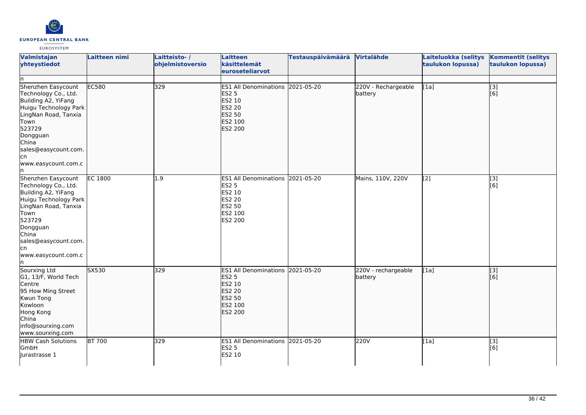

| Valmistajan<br>yhteystiedot<br>ln.                                                                                                                                                                                     | Laitteen nimi  | Laitteisto-/<br>ohjelmistoversio | Laitteen<br>käsittelemät<br>euroseteliarvot                                                                        | <b>Testauspäivämäärä</b> | Virtalähde                     | Laiteluokka (selitys<br>taulukon lopussa) | <b>Kommentit (selitys</b><br>taulukon lopussa) |
|------------------------------------------------------------------------------------------------------------------------------------------------------------------------------------------------------------------------|----------------|----------------------------------|--------------------------------------------------------------------------------------------------------------------|--------------------------|--------------------------------|-------------------------------------------|------------------------------------------------|
| Shenzhen Easycount<br>Technology Co., Ltd.<br>Building A2, YiFang<br>Huigu Technology Park<br>LingNan Road, Tanxia<br>Town<br>523729<br>Dongguan<br>China<br>sales@easycount.com.<br>lcn<br>www.easycount.com.c<br>ln. | EC580          | 329                              | ES1 All Denominations 2021-05-20<br><b>ES2 5</b><br>ES2 10<br><b>ES2 20</b><br><b>ES2 50</b><br>ES2 100<br>ES2 200 |                          | 220V - Rechargeable<br>battery | [1a]                                      | $\overline{[}3]$<br>[6]                        |
| Shenzhen Easycount<br>Technology Co., Ltd.<br>Building A2, YiFang<br>Huigu Technology Park<br>LingNan Road, Tanxia<br>Town<br>523729<br>Dongguan<br>China<br>sales@easycount.com.<br>cn<br>www.easycount.com.c<br>In.  | <b>EC 1800</b> | 1.9                              | ES1 All Denominations 2021-05-20<br>ES2 5<br>ES2 10<br>ES2 20<br>ES2 50<br>ES2 100<br>ES2 200                      |                          | Mains, 110V, 220V              | [2]                                       | [3]<br>[6]                                     |
| Sourxing Ltd<br>G1, 13/F, World Tech<br>Centre<br>95 How Ming Street<br>Kwun Tong<br>Kowloon<br>Hong Kong<br>China<br>info@sourxing.com<br>www.sourxing.com                                                            | SX530          | 329                              | ES1 All Denominations 2021-05-20<br><b>ES2 5</b><br>ES2 10<br><b>ES2 20</b><br><b>ES2 50</b><br>ES2 100<br>ES2 200 |                          | 220V - rechargeable<br>battery | [1a]                                      | [3]<br>[6]                                     |
| <b>HBW Cash Solutions</b><br>GmbH<br>Jurastrasse 1                                                                                                                                                                     | <b>BT 700</b>  | 329                              | ES1 All Denominations 2021-05-20<br><b>ES2 5</b><br>ES2 10                                                         |                          | 220V                           | [1a]                                      | [3]<br>[6]                                     |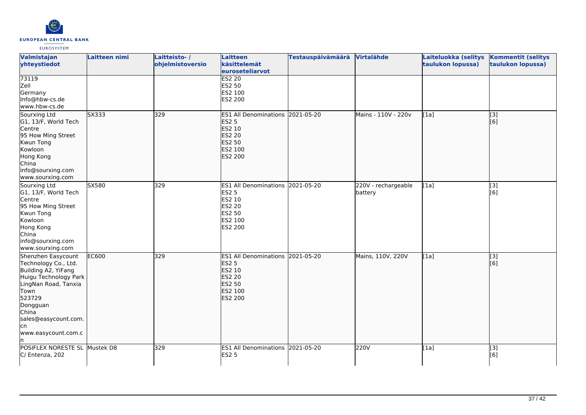

| Valmistajan<br>yhteystiedot                                                                                                                                                                                     | Laitteen nimi | Laitteisto-/<br>ohjelmistoversio | Laitteen<br>käsittelemät<br>euroseteliarvot                                                                               | <b>Testauspäivämäärä</b> | Virtalähde                     | Laiteluokka (selitys<br>taulukon lopussa) | <b>Kommentit (selitys</b><br>taulukon lopussa) |
|-----------------------------------------------------------------------------------------------------------------------------------------------------------------------------------------------------------------|---------------|----------------------------------|---------------------------------------------------------------------------------------------------------------------------|--------------------------|--------------------------------|-------------------------------------------|------------------------------------------------|
| 73119<br>Zell<br>Germany<br>Info@hbw-cs.de<br>www.hbw-cs.de                                                                                                                                                     |               |                                  | <b>ES2 20</b><br><b>ES2 50</b><br>ES2 100<br>ES2 200                                                                      |                          |                                |                                           |                                                |
| Sourxing Ltd<br>G1, 13/F, World Tech<br>Centre<br>95 How Ming Street<br>Kwun Tong<br>Kowloon<br>Hong Kong<br>China<br>info@sourxing.com<br>www.sourxing.com                                                     | SX333         | 329                              | ES1 All Denominations 2021-05-20<br><b>ES2 5</b><br>ES2 10<br><b>ES2 20</b><br>ES2 50<br>ES2 100<br><b>ES2 200</b>        |                          | Mains - 110V - 220v            | [1a]                                      | [3]<br>[6]                                     |
| Sourxing Ltd<br>G1, 13/F, World Tech<br>Centre<br>95 How Ming Street<br>Kwun Tong<br>Kowloon<br>Hong Kong<br>China<br>info@sourxing.com<br>www.sourxing.com                                                     | SX580         | 329                              | ES1 All Denominations 2021-05-20<br><b>ES2 5</b><br>ES2 10<br><b>ES2 20</b><br><b>ES2 50</b><br>ES2 100<br><b>ES2 200</b> |                          | 220V - rechargeable<br>battery | [1a]                                      | [3]<br>[6]                                     |
| Shenzhen Easycount<br>Technology Co., Ltd.<br>Building A2, YiFang<br>Huigu Technology Park<br>LingNan Road, Tanxia<br>Town<br>523729<br>Dongguan<br>China<br>sales@easycount.com.<br>lcn<br>www.easycount.com.c | <b>EC600</b>  | 329                              | ES1 All Denominations 2021-05-20<br><b>ES2 5</b><br>ES2 10<br><b>ES2 20</b><br><b>ES2 50</b><br>ES2 100<br><b>ES2 200</b> |                          | Mains, 110V, 220V              | [1a]                                      | $\overline{[}$ [3]<br>[6]                      |
| POSIFLEX NORESTE SL Mustek D8<br>C/ Entenza, 202                                                                                                                                                                |               | 329                              | ES1 All Denominations 2021-05-20<br><b>ES2 5</b>                                                                          |                          | 220V                           | [1a]                                      | $\overline{[}3]$<br>[6]                        |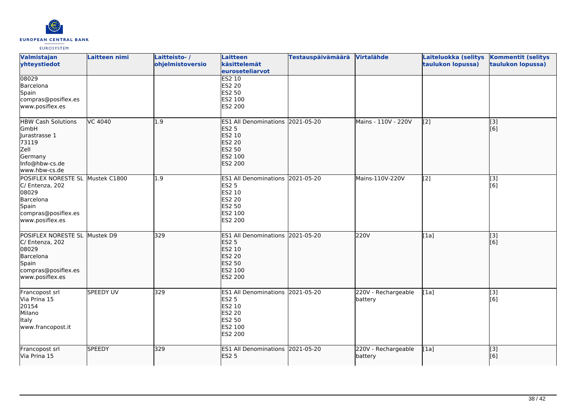

| Valmistajan<br>yhteystiedot                                                                                                  | <b>Laitteen nimi</b> | Laitteisto-/<br>ohjelmistoversio | Laitteen<br>käsittelemät<br>euroseteliarvot                                                                                      | Testauspäivämäärä Virtalähde |                                | Laiteluokka (selitys<br>taulukon lopussa)      | <b>Kommentit (selitys</b><br>taulukon lopussa) |
|------------------------------------------------------------------------------------------------------------------------------|----------------------|----------------------------------|----------------------------------------------------------------------------------------------------------------------------------|------------------------------|--------------------------------|------------------------------------------------|------------------------------------------------|
| 08029<br>Barcelona<br>Spain<br>compras@posiflex.es<br>www.posiflex.es                                                        |                      |                                  | <b>ES2 10</b><br>ES2 20<br><b>ES2 50</b><br>ES2 100<br>ES2 200                                                                   |                              |                                |                                                |                                                |
| <b>HBW Cash Solutions</b><br>GmbH<br>llurastrasse 1<br>73119<br>Zell<br>Germany<br>Info@hbw-cs.de<br>www.hbw-cs.de           | <b>VC 4040</b>       | 1.9                              | <b>ES1 All Denominations</b><br><b>ES2 5</b><br>ES2 10<br><b>ES2 20</b><br><b>ES2 50</b><br>ES2 100<br>ES2 200                   | 2021-05-20                   | Mains - 110V - 220V            | $\left[ \begin{matrix} 2 \end{matrix} \right]$ | [3]<br>[6]                                     |
| POSIFLEX NORESTE SL Mustek C1800<br>C/ Entenza, 202<br>08029<br>Barcelona<br>Spain<br>compras@posiflex.es<br>www.posiflex.es |                      | $\overline{1.9}$                 | ES1 All Denominations 2021-05-20<br><b>ES2 5</b><br>ES2 10<br>ES2 20<br><b>ES2 50</b><br>ES2 100<br>ES2 200                      |                              | Mains-110V-220V                | [2]                                            | $\overline{[}3]$<br>[6]                        |
| POSIFLEX NORESTE SL Mustek D9<br>C/ Entenza, 202<br>08029<br>Barcelona<br>Spain<br>compras@posiflex.es<br>www.posiflex.es    |                      | 329                              | ES1 All Denominations 2021-05-20<br><b>ES2 5</b><br><b>ES2 10</b><br><b>ES2 20</b><br><b>ES2 50</b><br>ES2 100<br><b>ES2 200</b> |                              | 220V                           | [1a]                                           | $\overline{[}$ [3]<br>[6]                      |
| Francopost srl<br>Via Prina 15<br>20154<br>Milano<br>Italy<br>www.francopost.it                                              | SPEEDY UV            | 329                              | <b>ES1 All Denominations</b><br><b>ES2 5</b><br>ES2 10<br><b>ES2 20</b><br><b>ES2 50</b><br>ES2 100<br>ES2 200                   | 2021-05-20                   | 220V - Rechargeable<br>battery | [1a]                                           | [3]<br>[6]                                     |
| Francopost srl<br>Via Prina 15                                                                                               | <b>SPEEDY</b>        | 329                              | ES1 All Denominations 2021-05-20<br><b>ES2 5</b>                                                                                 |                              | 220V - Rechargeable<br>battery | [1a]                                           | $\overline{[}3]$<br>[6]                        |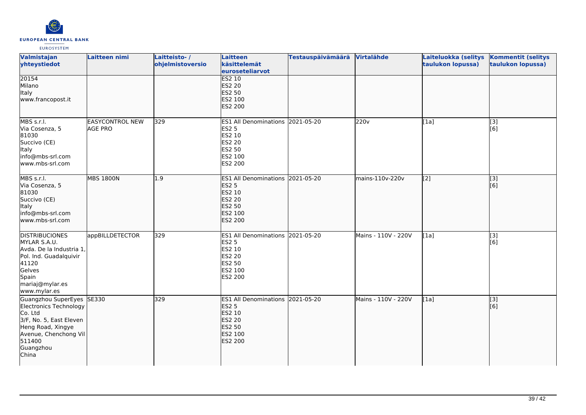

| Valmistajan<br>yhteystiedot                                                                                                                                             | Laitteen nimi                            | Laitteisto-/<br>ohjelmistoversio | Laitteen<br>käsittelemät<br>euroseteliarvot                                                                 | <b>Testauspäivämäärä</b> | Virtalähde          | Laiteluokka (selitys<br>taulukon lopussa) | <b>Kommentit (selitys</b><br>taulukon lopussa) |
|-------------------------------------------------------------------------------------------------------------------------------------------------------------------------|------------------------------------------|----------------------------------|-------------------------------------------------------------------------------------------------------------|--------------------------|---------------------|-------------------------------------------|------------------------------------------------|
| 20154<br>Milano<br>Italy<br>www.francopost.it                                                                                                                           |                                          |                                  | <b>ES2 10</b><br><b>ES2 20</b><br>ES2 50<br>ES2 100<br>ES2 200                                              |                          |                     |                                           |                                                |
| MBS s.r.l.<br>Via Cosenza, 5<br>81030<br>Succivo (CE)<br>Italy<br>info@mbs-srl.com<br>www.mbs-srl.com                                                                   | <b>EASYCONTROL NEW</b><br><b>AGE PRO</b> | 329                              | ES1 All Denominations 2021-05-20<br><b>ES2 5</b><br>ES2 10<br>ES2 20<br>ES2 50<br>ES2 100<br>ES2 200        |                          | 220v                | [1a]                                      | [3]<br>[6]                                     |
| MBS s.r.l.<br>Via Cosenza, 5<br>81030<br>Succivo (CE)<br><b>Italy</b><br>info@mbs-srl.com<br>www.mbs-srl.com                                                            | <b>MBS 1800N</b>                         | 1.9                              | ES1 All Denominations 2021-05-20<br><b>ES2 5</b><br>ES2 10<br><b>ES2 20</b><br>ES2 50<br>ES2 100<br>ES2 200 |                          | mains-110v-220v     | $\sqrt{2}$                                | $\overline{[}3]$<br>[6]                        |
| <b>DISTRIBUCIONES</b><br>MYLAR S.A.U.<br>Avda. De la Industria 1,<br>Pol. Ind. Guadalquivir<br>41120<br>Gelves<br>Spain<br>mariaj@mylar.es<br>www.mylar.es              | appBILLDETECTOR                          | 329                              | ES1 All Denominations 2021-05-20<br><b>ES2 5</b><br>ES2 10<br>ES2 20<br>ES2 50<br>ES2 100<br>ES2 200        |                          | Mains - 110V - 220V | [1a]                                      | $\overline{[}3]$<br>[6]                        |
| Guangzhou SuperEyes SE330<br>Electronics Technology<br>Co. Ltd<br>3/F, No. 5, East Eleven<br>Heng Road, Xingye<br>Avenue, Chenchong Vil<br>511400<br>Guangzhou<br>China |                                          | 329                              | ES1 All Denominations 2021-05-20<br><b>ES2 5</b><br>ES2 10<br><b>ES2 20</b><br>ES2 50<br>ES2 100<br>ES2 200 |                          | Mains - 110V - 220V | [1a]                                      | $\overline{[}3]$<br>[6]                        |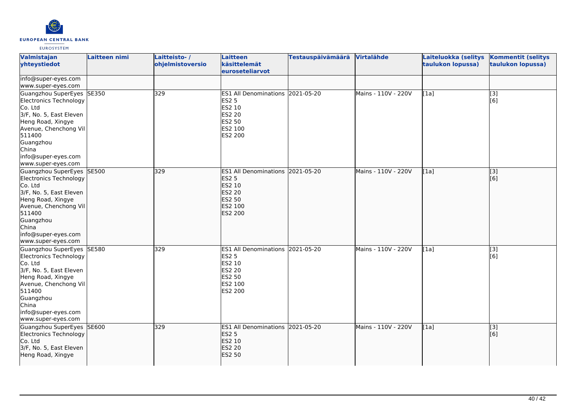

| Valmistajan<br>yhteystiedot                                                                                                                                                                                          | Laitteen nimi | Laitteisto-/<br>ohjelmistoversio | Laitteen<br>käsittelemät<br>euroseteliarvot                                                                           | <b>Testauspäivämäärä</b> | <b>Virtalähde</b>   | Laiteluokka (selitys<br>taulukon lopussa) | <b>Kommentit (selitys</b><br>taulukon lopussa) |
|----------------------------------------------------------------------------------------------------------------------------------------------------------------------------------------------------------------------|---------------|----------------------------------|-----------------------------------------------------------------------------------------------------------------------|--------------------------|---------------------|-------------------------------------------|------------------------------------------------|
| info@super-eyes.com<br>www.super-eyes.com                                                                                                                                                                            |               |                                  |                                                                                                                       |                          |                     |                                           |                                                |
| Guangzhou SuperEyes SE350<br>Electronics Technology<br>Co. Ltd<br>3/F, No. 5, East Eleven<br>Heng Road, Xingye<br>Avenue, Chenchong Vil<br>511400<br>Guangzhou<br>China<br>info@super-eyes.com<br>www.super-eyes.com |               | 329                              | ES1 All Denominations 2021-05-20<br><b>ES2 5</b><br>ES2 10<br><b>ES2 20</b><br>ES2 50<br>ES2 100<br>ES2 200           |                          | Mains - 110V - 220V | [1a]                                      | [3]<br>[6]                                     |
| Guangzhou SuperEyes SE500<br>Electronics Technology<br>Co. Ltd<br>3/F, No. 5, East Eleven<br>Heng Road, Xingye<br>Avenue, Chenchong Vil<br>511400<br>Guangzhou<br>China<br>info@super-eyes.com<br>www.super-eyes.com |               | 329                              | <b>ES1 All Denominations</b><br><b>ES2 5</b><br>ES2 10<br><b>ES2 20</b><br><b>ES2 50</b><br>ES2 100<br><b>ES2 200</b> | 2021-05-20               | Mains - 110V - 220V | [1a]                                      | [3]<br>[6]                                     |
| Guangzhou SuperEyes SE580<br>Electronics Technology<br>Co. Ltd<br>3/F, No. 5, East Eleven<br>Heng Road, Xingye<br>Avenue, Chenchong Vil<br>511400<br>Guangzhou<br>China<br>info@super-eyes.com<br>www.super-eyes.com |               | 329                              | ES1 All Denominations 2021-05-20<br><b>ES2 5</b><br>ES2 10<br><b>ES2 20</b><br>ES2 50<br>ES2 100<br>ES2 200           |                          | Mains - 110V - 220V | [1a]                                      | $\overline{[3]}$<br>[6]                        |
| Guangzhou SuperEyes<br>Electronics Technology<br>Co. Ltd<br>3/F, No. 5, East Eleven<br>Heng Road, Xingye                                                                                                             | <b>SE600</b>  | 329                              | ES1 All Denominations 2021-05-20<br><b>ES2 5</b><br>ES2 10<br><b>ES2 20</b><br><b>ES2 50</b>                          |                          | Mains - 110V - 220V | [1a]                                      | [3]<br>[6]                                     |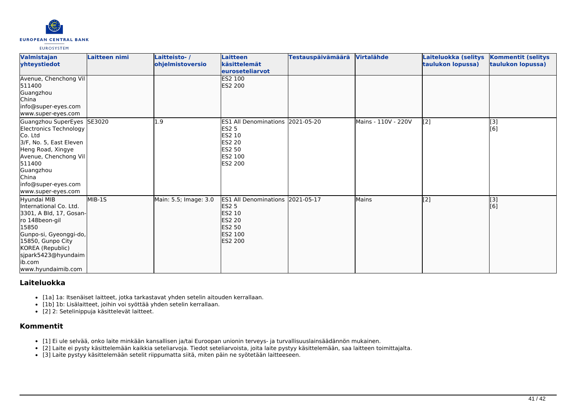

| Valmistajan<br>yhteystiedot                                                                                                                                                                                             | Laitteen nimi | Laitteisto-/<br>ohjelmistoversio | Laitteen<br>käsittelemät<br>euroseteliarvot                                                                                  | <b>Testauspäivämäärä</b> | <b>Virtalähde</b>   | Laiteluokka (selitys<br>taulukon lopussa)      | <b>Kommentit (selitys</b><br>taulukon lopussa) |
|-------------------------------------------------------------------------------------------------------------------------------------------------------------------------------------------------------------------------|---------------|----------------------------------|------------------------------------------------------------------------------------------------------------------------------|--------------------------|---------------------|------------------------------------------------|------------------------------------------------|
| Avenue, Chenchong Vil<br>511400<br>Guangzhou<br><b>China</b><br>info@super-eyes.com<br>www.super-eyes.com                                                                                                               |               |                                  | ES2 100<br><b>IES2 200</b>                                                                                                   |                          |                     |                                                |                                                |
| Guangzhou SuperEyes<br>Electronics Technology<br>Co. Ltd<br>3/F, No. 5, East Eleven<br>Heng Road, Xingye<br>Avenue, Chenchong Vil<br>511400<br>Guangzhou<br>China<br>info@super-eyes.com<br>www.super-eyes.com          | SE3020        | 1.9                              | <b>ES1 All Denominations</b><br><b>ES2 5</b><br><b>ES2 10</b><br>ES2 20<br><b>ES2 50</b><br>ES2 100<br>ES2 200               | 2021-05-20               | Mains - 110V - 220V | $\left[ \begin{matrix} 2 \end{matrix} \right]$ | [3]<br>[6]                                     |
| Hyundai MIB<br>lInternational Co. Ltd.<br>3301, A Bld, 17, Gosan-<br>ro 148beon-gil<br>15850<br>Gunpo-si, Gyeonggi-do,<br>15850, Gunpo City<br>KOREA (Republic)<br>sjpark5423@hyundaim<br>lib.com<br>www.hyundaimib.com | MIB-1S        | Main: 5.5; Image: 3.0            | <b>ES1 All Denominations</b><br><b>ES2 5</b><br><b>ES2 10</b><br><b>ES2 20</b><br><b>ES2 50</b><br>ES2 100<br><b>ES2 200</b> | 2021-05-17               | Mains               | $\overline{[2]}$                               | [3]<br>[6]                                     |

# **Laiteluokka**

- [1a] 1a: Itsenäiset laitteet, jotka tarkastavat yhden setelin aitouden kerrallaan.
- [1b] 1b: Lisälaitteet, joihin voi syöttää yhden setelin kerrallaan.
- [2] 2: Setelinippuja käsittelevät laitteet.

# **Kommentit**

- [1] Ei ule selvää, onko laite minkään kansallisen ja/tai Euroopan unionin terveys- ja turvallisuuslainsäädännön mukainen.
- [2] Laite ei pysty käsittelemään kaikkia seteliarvoja. Tiedot seteliarvoista, joita laite pystyy käsittelemään, saa laitteen toimittajalta.
- [3] Laite pystyy käsittelemään setelit riippumatta siitä, miten päin ne syötetään laitteeseen.